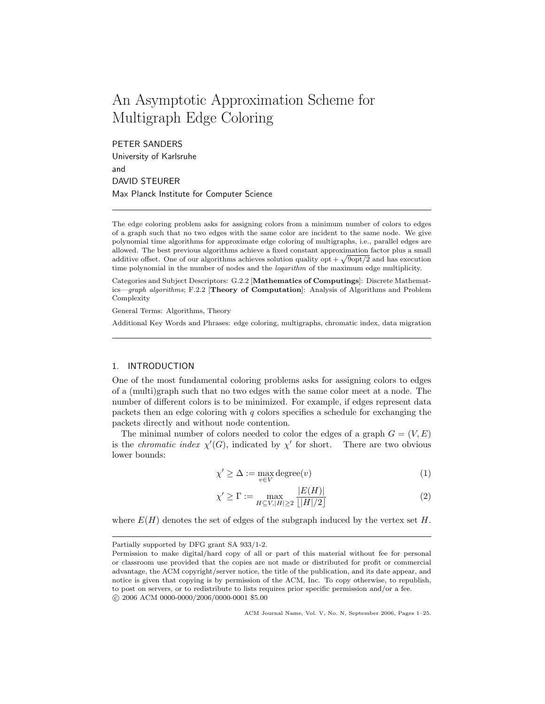# An Asymptotic Approximation Scheme for Multigraph Edge Coloring

PETER SANDERS University of Karlsruhe and DAVID STEURER Max Planck Institute for Computer Science

The edge coloring problem asks for assigning colors from a minimum number of colors to edges of a graph such that no two edges with the same color are incident to the same node. We give polynomial time algorithms for approximate edge coloring of multigraphs, i.e., parallel edges are allowed. The best previous algorithms achieve a fixed constant approximation factor plus a small additive offset. One of our algorithms achieves solution quality opt  $+\sqrt{9$ opt/2 and has execution time polynomial in the number of nodes and the *logarithm* of the maximum edge multiplicity.

Categories and Subject Descriptors: G.2.2 [Mathematics of Computings]: Discrete Mathematics—graph algorithms; F.2.2 [Theory of Computation]: Analysis of Algorithms and Problem Complexity

General Terms: Algorithms, Theory

Additional Key Words and Phrases: edge coloring, multigraphs, chromatic index, data migration

# 1. INTRODUCTION

One of the most fundamental coloring problems asks for assigning colors to edges of a (multi)graph such that no two edges with the same color meet at a node. The number of different colors is to be minimized. For example, if edges represent data packets then an edge coloring with  $q$  colors specifies a schedule for exchanging the packets directly and without node contention.

The minimal number of colors needed to color the edges of a graph  $G = (V, E)$ is the *chromatic index*  $\chi'(G)$ , indicated by  $\chi'$  for short. There are two obvious lower bounds:

$$
\chi' \ge \Delta := \max_{v \in V} \text{degree}(v) \tag{1}
$$

$$
\chi' \ge \Gamma := \max_{H \subseteq V, |H| \ge 2} \frac{|E(H)|}{\lfloor |H|/2 \rfloor} \tag{2}
$$

where  $E(H)$  denotes the set of edges of the subgraph induced by the vertex set H.

Partially supported by DFG grant SA 933/1-2.

Permission to make digital/hard copy of all or part of this material without fee for personal or classroom use provided that the copies are not made or distributed for profit or commercial advantage, the ACM copyright/server notice, the title of the publication, and its date appear, and notice is given that copying is by permission of the ACM, Inc. To copy otherwise, to republish, to post on servers, or to redistribute to lists requires prior specific permission and/or a fee. c 2006 ACM 0000-0000/2006/0000-0001 \$5.00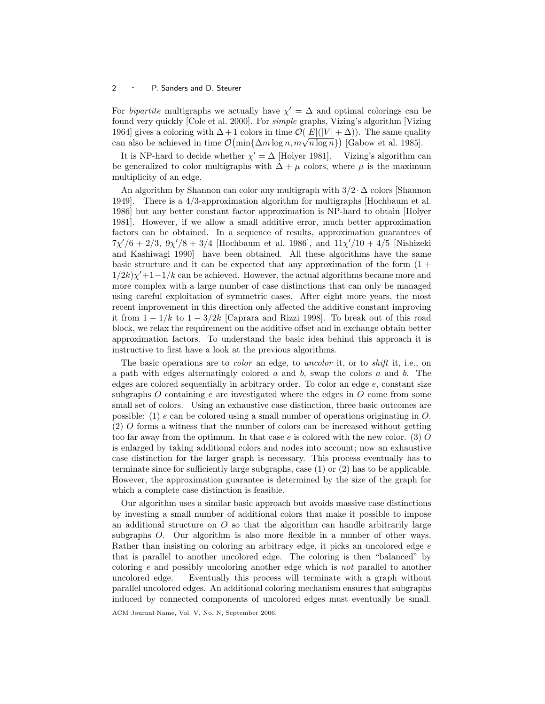For *bipartite* multigraphs we actually have  $\chi' = \Delta$  and optimal colorings can be found very quickly [Cole et al. 2000]. For simple graphs, Vizing's algorithm [Vizing 1964] gives a coloring with  $\Delta + 1$  colors in time  $\mathcal{O}(|E|(|V| + \Delta))$ . The same quality 1904] gives a coloring with  $\Delta + 1$  colors in time  $\mathcal{O}(|E|(|V| + \Delta))$ . The same quali<br>can also be achieved in time  $\mathcal{O}(\min{\{\Delta m \log n, m \sqrt{n \log n}\}})$  [Gabow et al. 1985].

It is NP-hard to decide whether  $\chi' = \Delta$  [Holyer 1981]. Vizing's algorithm can be generalized to color multigraphs with  $\Delta + \mu$  colors, where  $\mu$  is the maximum multiplicity of an edge.

An algorithm by Shannon can color any multigraph with  $3/2 \cdot \Delta$  colors [Shannon] 1949]. There is a 4/3-approximation algorithm for multigraphs [Hochbaum et al. 1986] but any better constant factor approximation is NP-hard to obtain [Holyer 1981]. However, if we allow a small additive error, much better approximation factors can be obtained. In a sequence of results, approximation guarantees of  $7\chi'/6 + 2/3$ ,  $9\chi'/8 + 3/4$  [Hochbaum et al. 1986], and  $11\chi'/10 + 4/5$  [Nishizeki and Kashiwagi 1990] have been obtained. All these algorithms have the same basic structure and it can be expected that any approximation of the form  $(1 +$  $1/2k\chi' + 1-1/k$  can be achieved. However, the actual algorithms became more and more complex with a large number of case distinctions that can only be managed using careful exploitation of symmetric cases. After eight more years, the most recent improvement in this direction only affected the additive constant improving it from  $1 - 1/k$  to  $1 - 3/2k$  [Caprara and Rizzi 1998]. To break out of this road block, we relax the requirement on the additive offset and in exchange obtain better approximation factors. To understand the basic idea behind this approach it is instructive to first have a look at the previous algorithms.

The basic operations are to *color* an edge, to *uncolor* it, or to *shift* it, i.e., on a path with edges alternatingly colored  $a$  and  $b$ , swap the colors  $a$  and  $b$ . The edges are colored sequentially in arbitrary order. To color an edge  $e$ , constant size subgraphs O containing  $e$  are investigated where the edges in O come from some small set of colors. Using an exhaustive case distinction, three basic outcomes are possible: (1) e can be colored using a small number of operations originating in O. (2) O forms a witness that the number of colors can be increased without getting too far away from the optimum. In that case  $e$  is colored with the new color. (3) O is enlarged by taking additional colors and nodes into account; now an exhaustive case distinction for the larger graph is necessary. This process eventually has to terminate since for sufficiently large subgraphs, case (1) or (2) has to be applicable. However, the approximation guarantee is determined by the size of the graph for which a complete case distinction is feasible.

Our algorithm uses a similar basic approach but avoids massive case distinctions by investing a small number of additional colors that make it possible to impose an additional structure on  $\hat{O}$  so that the algorithm can handle arbitrarily large subgraphs O. Our algorithm is also more flexible in a number of other ways. Rather than insisting on coloring an arbitrary edge, it picks an uncolored edge  $e$ that is parallel to another uncolored edge. The coloring is then "balanced" by coloring e and possibly uncoloring another edge which is not parallel to another uncolored edge. Eventually this process will terminate with a graph without parallel uncolored edges. An additional coloring mechanism ensures that subgraphs induced by connected components of uncolored edges must eventually be small.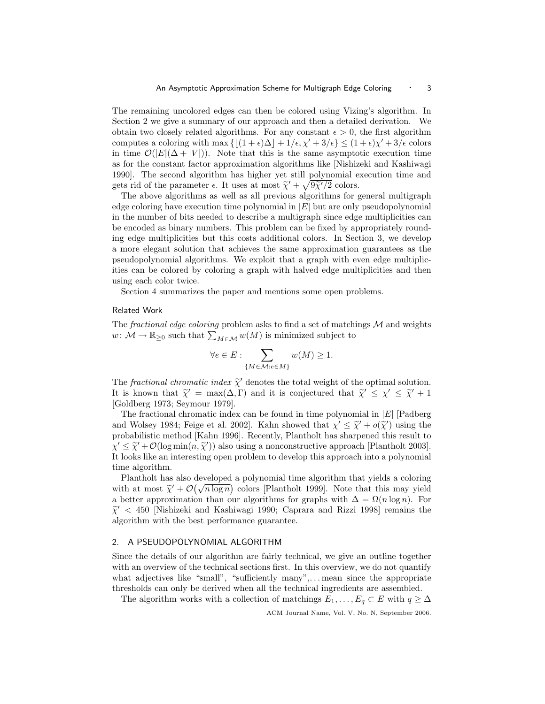The remaining uncolored edges can then be colored using Vizing's algorithm. In Section 2 we give a summary of our approach and then a detailed derivation. We obtain two closely related algorithms. For any constant  $\epsilon > 0$ , the first algorithm computes a coloring with max  $\{|(1 + \epsilon)\Delta| + 1/\epsilon, \chi' + 3/\epsilon| \leq (1 + \epsilon)\chi' + 3/\epsilon \text{ colors}$ in time  $\mathcal{O}(|E|(\Delta + |V|))$ . Note that this is the same asymptotic execution time as for the constant factor approximation algorithms like [Nishizeki and Kashiwagi 1990]. The second algorithm has higher yet still polynomial execution time and gets rid of the parameter  $\epsilon$ . It uses at most  $\tilde{\chi}^{\prime} + \sqrt{9\tilde{\chi}^{\prime}/2}$  colors.<br>The above algorithms as well as all provious algorithms for  $\epsilon$ 

The above algorithms as well as all previous algorithms for general multigraph edge coloring have execution time polynomial in  $|E|$  but are only pseudopolynomial in the number of bits needed to describe a multigraph since edge multiplicities can be encoded as binary numbers. This problem can be fixed by appropriately rounding edge multiplicities but this costs additional colors. In Section 3, we develop a more elegant solution that achieves the same approximation guarantees as the pseudopolynomial algorithms. We exploit that a graph with even edge multiplicities can be colored by coloring a graph with halved edge multiplicities and then using each color twice.

Section 4 summarizes the paper and mentions some open problems.

# Related Work

The *fractional edge coloring* problem asks to find a set of matchings  $M$  and weights  $w \colon \mathcal{M} \to \mathbb{R}_{\geq 0}$  such that  $\sum_{M \in \mathcal{M}} w(M)$  is minimized subject to

$$
\forall e \in E: \sum_{\{M \in \mathcal{M}: e \in M\}} w(M) \ge 1.
$$

The *fractional chromatic index*  $\tilde{\chi}'$  denotes the total weight of the optimal solution.<br>It is known that  $\tilde{\chi}' = \max(\Delta \Gamma)$  and it is conjectured that  $\tilde{\chi}' \leq \chi' \leq \tilde{\chi}' + 1$ It is known that  $\tilde{\chi}' = \max(\Delta, \Gamma)$  and it is conjectured that  $\tilde{\chi}' \leq \chi' \leq \tilde{\chi}' + 1$ <br>[Coldberg 1073: Soymour 1070] [Goldberg 1973; Seymour 1979].

The fractional chromatic index can be found in time polynomial in  $|E|$  [Padberg] and Wolsey 1984; Feige et al. 2002]. Kahn showed that  $\chi' \leq \tilde{\chi}' + o(\tilde{\chi}')$  using the probabilistic method [Kahn 1996]. Becontly, Plantholt has sharpened this result to probabilistic method [Kahn 1996]. Recently, Plantholt has sharpened this result to  $\chi' \leq \tilde{\chi}' + \mathcal{O}(\log \min(n, \tilde{\chi}'))$  also using a nonconstructive approach [Plantholt 2003]. It looks like an interesting open problem to develop this approach into a polynomial time algorithm.

Plantholt has also developed a polynomial time algorithm that yields a coloring Plantholt has also developed a polynomial time algorithm that yields a coloring<br>with at most  $\tilde{\chi}^{\prime} + \mathcal{O}(\sqrt{n \log n})$  colors [Plantholt 1999]. Note that this may yield<br>a better approximation than our elements for graphs a better approximation than our algorithms for graphs with  $\Delta = \Omega(n \log n)$ . For  $\tilde{\chi}'$  < 450 [Nishizeki and Kashiwagi 1990; Caprara and Rizzi 1998] remains the algorithm with the best performance guarantee. algorithm with the best performance guarantee.

# 2. A PSEUDOPOLYNOMIAL ALGORITHM

Since the details of our algorithm are fairly technical, we give an outline together with an overview of the technical sections first. In this overview, we do not quantify what adjectives like "small", "sufficiently many",...mean since the appropriate thresholds can only be derived when all the technical ingredients are assembled.

The algorithm works with a collection of matchings  $E_1, \ldots, E_q \subset E$  with  $q \geq \Delta$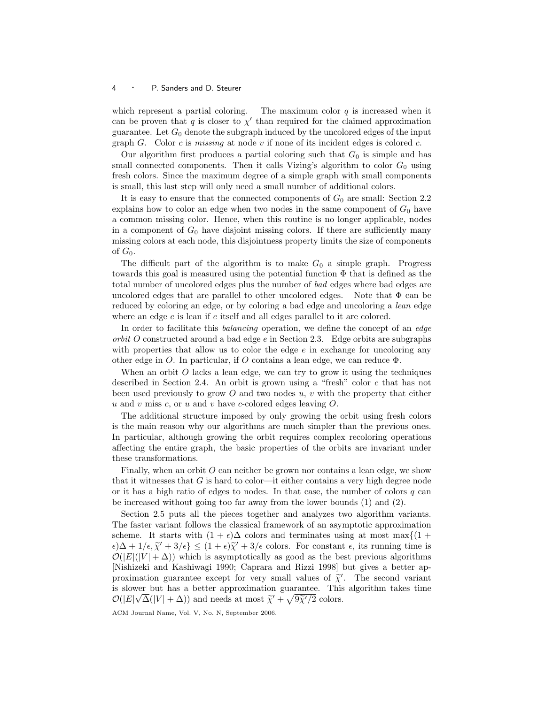which represent a partial coloring. The maximum color  $q$  is increased when it can be proven that q is closer to  $\chi'$  than required for the claimed approximation guarantee. Let  $G_0$  denote the subgraph induced by the uncolored edges of the input graph G. Color c is missing at node v if none of its incident edges is colored c.

Our algorithm first produces a partial coloring such that  $G_0$  is simple and has small connected components. Then it calls Vizing's algorithm to color  $G_0$  using fresh colors. Since the maximum degree of a simple graph with small components is small, this last step will only need a small number of additional colors.

It is easy to ensure that the connected components of  $G_0$  are small: Section 2.2 explains how to color an edge when two nodes in the same component of  $G_0$  have a common missing color. Hence, when this routine is no longer applicable, nodes in a component of  $G_0$  have disjoint missing colors. If there are sufficiently many missing colors at each node, this disjointness property limits the size of components of  $G_0$ .

The difficult part of the algorithm is to make  $G_0$  a simple graph. Progress towards this goal is measured using the potential function  $\Phi$  that is defined as the total number of uncolored edges plus the number of bad edges where bad edges are uncolored edges that are parallel to other uncolored edges. Note that  $\Phi$  can be reduced by coloring an edge, or by coloring a bad edge and uncoloring a *lean* edge where an edge  $e$  is lean if  $e$  itself and all edges parallel to it are colored.

In order to facilitate this balancing operation, we define the concept of an edge orbit O constructed around a bad edge e in Section 2.3. Edge orbits are subgraphs with properties that allow us to color the edge  $e$  in exchange for uncoloring any other edge in O. In particular, if O contains a lean edge, we can reduce  $\Phi$ .

When an orbit  $O$  lacks a lean edge, we can try to grow it using the techniques described in Section 2.4. An orbit is grown using a "fresh" color c that has not been used previously to grow  $O$  and two nodes  $u, v$  with the property that either u and v miss c, or u and v have c-colored edges leaving  $O$ .

The additional structure imposed by only growing the orbit using fresh colors is the main reason why our algorithms are much simpler than the previous ones. In particular, although growing the orbit requires complex recoloring operations affecting the entire graph, the basic properties of the orbits are invariant under these transformations.

Finally, when an orbit O can neither be grown nor contains a lean edge, we show that it witnesses that  $G$  is hard to color—it either contains a very high degree node or it has a high ratio of edges to nodes. In that case, the number of colors  $q$  can be increased without going too far away from the lower bounds (1) and (2).

Section 2.5 puts all the pieces together and analyzes two algorithm variants. The faster variant follows the classical framework of an asymptotic approximation scheme. It starts with  $(1 + \epsilon)\Delta$  colors and terminates using at most max $\{(1 + \epsilon)\Delta\}$  $\epsilon$ ) $\Delta + 1/\epsilon, \tilde{\chi}' + 3/\epsilon$ }  $\leq (1 + \epsilon)\tilde{\chi}' + 3/\epsilon$  colors. For constant  $\epsilon$ , its running time is  $\mathcal{O}(|E|(|V| + \Delta))$  which is asymptotically as good as the best provious algorithms  $\mathcal{O}(|E|(|V| + \Delta))$  which is asymptotically as good as the best previous algorithms [Nishizeki and Kashiwagi 1990; Caprara and Rizzi 1998] but gives a better approximation guarantee except for very small values of  $\tilde{\chi}'$ . The second variant<br>is slower but has a better approximation guarantee. This algorithm takes time is slower but has a better approximation guarantee. This algorithm takes time √  $\mathcal{O}(|E|\sqrt{\Delta}(|V|+\Delta))$  and needs at most  $\tilde{\chi}^{\prime} + \sqrt{9\tilde{\chi}^{\prime}/2}$  colors.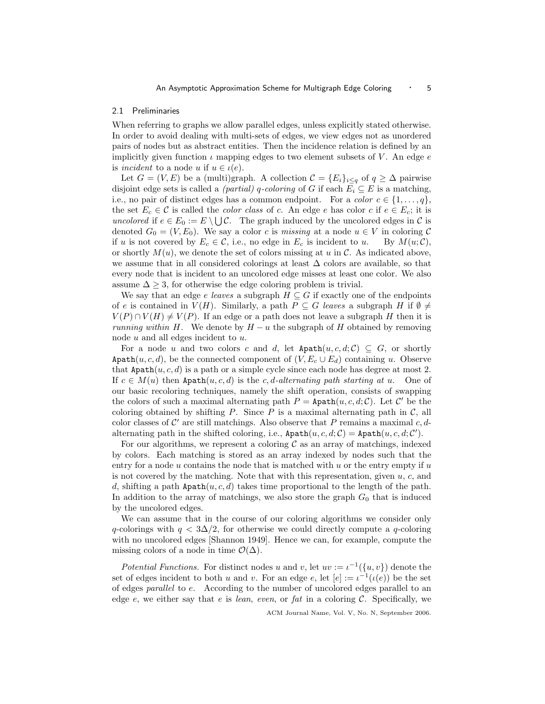#### 2.1 Preliminaries

When referring to graphs we allow parallel edges, unless explicitly stated otherwise. In order to avoid dealing with multi-sets of edges, we view edges not as unordered pairs of nodes but as abstract entities. Then the incidence relation is defined by an implicitly given function  $\iota$  mapping edges to two element subsets of V. An edge  $e$ is incident to a node u if  $u \in \iota(e)$ .

Let  $G = (V, E)$  be a (multi)graph. A collection  $\mathcal{C} = \{E_i\}_{i \leq q}$  of  $q \geq \Delta$  pairwise disjoint edge sets is called a *(partial)* q-coloring of G if each  $E_i \subseteq E$  is a matching, i.e., no pair of distinct edges has a common endpoint. For a *color*  $c \in \{1, \ldots, q\}$ , the set  $E_c \in \mathcal{C}$  is called the *color class* of c. An edge e has color c if  $e \in E_c$ ; it is uncolored if  $e \in E_0 := E \setminus \bigcup \mathcal{C}$ . The graph induced by the uncolored edges in  $\mathcal{C}$  is denoted  $G_0 = (V, E_0)$ . We say a color c is missing at a node  $u \in V$  in coloring C if u is not covered by  $E_c \in \mathcal{C}$ , i.e., no edge in  $E_c$  is incident to u. By  $M(u; \mathcal{C})$ , or shortly  $M(u)$ , we denote the set of colors missing at u in C. As indicated above, we assume that in all considered colorings at least ∆ colors are available, so that every node that is incident to an uncolored edge misses at least one color. We also assume  $\Delta \geq 3$ , for otherwise the edge coloring problem is trivial.

We say that an edge e leaves a subgraph  $H \subseteq G$  if exactly one of the endpoints of e is contained in  $V(H)$ . Similarly, a path  $P \subseteq G$  leaves a subgraph H if  $\emptyset \neq$  $V(P) \cap V(H) \neq V(P)$ . If an edge or a path does not leave a subgraph H then it is *running within H*. We denote by  $H - u$  the subgraph of H obtained by removing node  $u$  and all edges incident to  $u$ .

For a node u and two colors c and d, let  $\text{Apath}(u, c, d; \mathcal{C}) \subseteq G$ , or shortly Apath $(u, c, d)$ , be the connected component of  $(V, E_c \cup E_d)$  containing u. Observe that Apath $(u, c, d)$  is a path or a simple cycle since each node has degree at most 2. If  $c \in M(u)$  then Apath $(u, c, d)$  is the c, d-alternating path starting at u. One of our basic recoloring techniques, namely the shift operation, consists of swapping the colors of such a maximal alternating path  $P = \text{Apath}(u, c, d; \mathcal{C})$ . Let C' be the coloring obtained by shifting  $P$ . Since  $P$  is a maximal alternating path in  $\mathcal{C}$ , all color classes of  $\mathcal{C}'$  are still matchings. Also observe that P remains a maximal  $c, d$ alternating path in the shifted coloring, i.e.,  $\texttt{Apath}(u, c, d; \mathcal{C}) = \texttt{Apath}(u, c, d; \mathcal{C}').$ 

For our algorithms, we represent a coloring  $\mathcal C$  as an array of matchings, indexed by colors. Each matching is stored as an array indexed by nodes such that the entry for a node  $u$  contains the node that is matched with  $u$  or the entry empty if  $u$ is not covered by the matching. Note that with this representation, given  $u, c$ , and d, shifting a path  $\text{Apath}(u, c, d)$  takes time proportional to the length of the path. In addition to the array of matchings, we also store the graph  $G_0$  that is induced by the uncolored edges.

We can assume that in the course of our coloring algorithms we consider only q-colorings with  $q < 3\Delta/2$ , for otherwise we could directly compute a q-coloring with no uncolored edges [Shannon 1949]. Hence we can, for example, compute the missing colors of a node in time  $\mathcal{O}(\Delta)$ .

Potential Functions. For distinct nodes u and v, let  $uv := \iota^{-1}(\{u, v\})$  denote the set of edges incident to both u and v. For an edge e, let  $[e] := i^{-1}(\iota(e))$  be the set of edges parallel to e. According to the number of uncolored edges parallel to an edge  $e$ , we either say that  $e$  is lean, even, or fat in a coloring  $C$ . Specifically, we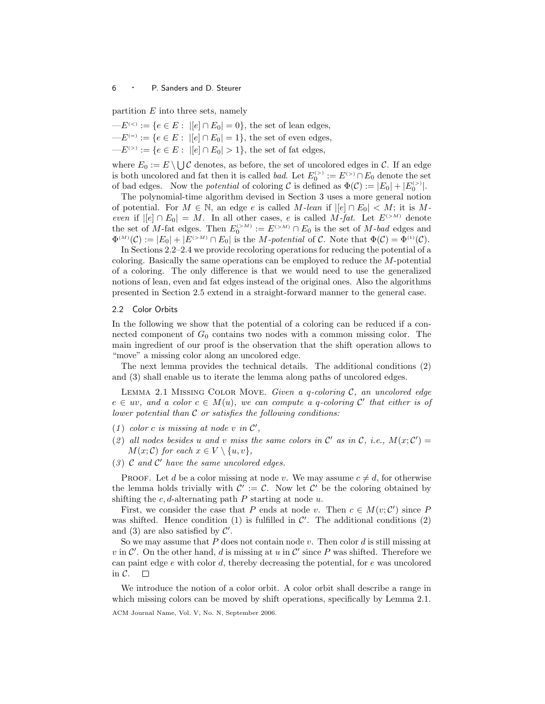partition  $E$  into three sets, namely

 $-E^{(<}):=\{e\in E:\ |[e]\cap E_0|=0\},\$  the set of lean edges,  $-E^{(=)} := \{e \in E : |[e] \cap E_0| = 1\},\$  the set of even edges,  $-E^{(>)} := \{e \in E : |[e] \cap E_0| > 1\}$ , the set of fat edges,

where  $E_0 := E \setminus \bigcup \mathcal{C}$  denotes, as before, the set of uncolored edges in  $\mathcal{C}$ . If an edge is both uncolored and fat then it is called *bad*. Let  $E_0^{(>)} := E^{(>)} \cap E_0$  denote the set of bad edges. Now the *potential* of coloring  $\mathcal C$  is defined as  $\Phi(\mathcal C) := |E_0| + |E_0^{(>)}|$ .

The polynomial-time algorithm devised in Section 3 uses a more general notion of potential. For  $M \in \mathbb{N}$ , an edge e is called M-lean if  $|e| \cap E_0| < M$ ; it is Meven if  $|[e] \cap E_0| = M$ . In all other cases, e is called M-fat. Let  $E^{(>M)}$  denote the set of M-fat edges. Then  $E_0^{(>M)} := E^{(>M)} \cap E_0$  is the set of M-bad edges and  $\Phi^{(M)}(\mathcal{C}) := |E_0| + |E^{(>M)} \cap E_0|$  is the *M*-potential of  $\mathcal{C}$ . Note that  $\Phi(\mathcal{C}) = \Phi^{(1)}(\mathcal{C})$ .

In Sections 2.2–2.4 we provide recoloring operations for reducing the potential of a coloring. Basically the same operations can be employed to reduce the M-potential of a coloring. The only difference is that we would need to use the generalized notions of lean, even and fat edges instead of the original ones. Also the algorithms presented in Section 2.5 extend in a straight-forward manner to the general case.

# 2.2 Color Orbits

In the following we show that the potential of a coloring can be reduced if a connected component of  $G_0$  contains two nodes with a common missing color. The main ingredient of our proof is the observation that the shift operation allows to "move" a missing color along an uncolored edge.

The next lemma provides the technical details. The additional conditions (2) and (3) shall enable us to iterate the lemma along paths of uncolored edges.

LEMMA 2.1 MISSING COLOR MOVE. Given a q-coloring  $C$ , an uncolored edge  $e \in uv$ , and a color  $c \in M(u)$ , we can compute a q-coloring C' that either is of lower potential than  $C$  or satisfies the following conditions:

- (1) color c is missing at node v in  $\mathcal{C}'$ ,
- (2) all nodes besides u and v miss the same colors in C' as in C, i.e.,  $M(x; \mathcal{C}') =$  $M(x; \mathcal{C})$  for each  $x \in V \setminus \{u, v\},\$
- $(3)$  C and C' have the same uncolored edges.

**PROOF.** Let d be a color missing at node v. We may assume  $c \neq d$ , for otherwise the lemma holds trivially with  $\mathcal{C}' := \mathcal{C}$ . Now let  $\mathcal{C}'$  be the coloring obtained by shifting the  $c, d$ -alternating path P starting at node u.

First, we consider the case that P ends at node v. Then  $c \in M(v; \mathcal{C}')$  since P was shifted. Hence condition  $(1)$  is fulfilled in  $\mathcal{C}'$ . The additional conditions  $(2)$ and (3) are also satisfied by  $\mathcal{C}'$ .

So we may assume that  $P$  does not contain node  $v$ . Then color  $d$  is still missing at v in  $\mathcal{C}'$ . On the other hand, d is missing at u in  $\mathcal{C}'$  since P was shifted. Therefore we can paint edge  $e$  with color  $d$ , thereby decreasing the potential, for  $e$  was uncolored in C.  $\Box$ 

We introduce the notion of a color orbit. A color orbit shall describe a range in which missing colors can be moved by shift operations, specifically by Lemma 2.1. ACM Journal Name, Vol. V, No. N, September 2006.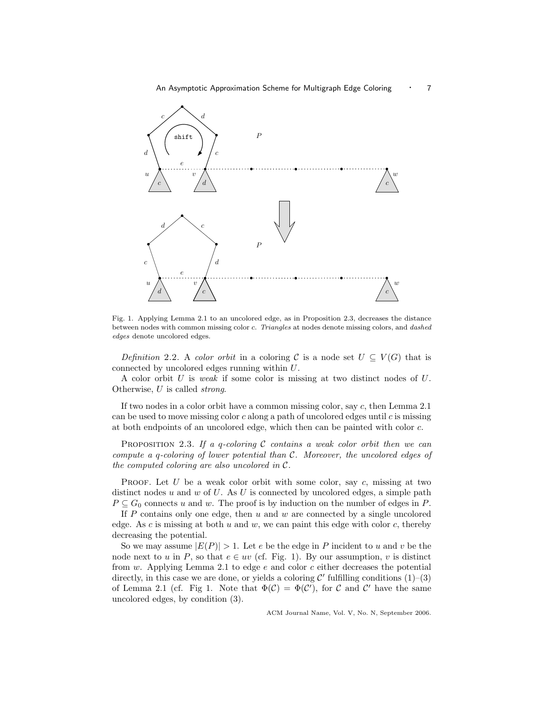

Fig. 1. Applying Lemma 2.1 to an uncolored edge, as in Proposition 2.3, decreases the distance between nodes with common missing color c. Triangles at nodes denote missing colors, and dashed edges denote uncolored edges.

Definition 2.2. A color orbit in a coloring C is a node set  $U \subseteq V(G)$  that is connected by uncolored edges running within U.

A color orbit U is weak if some color is missing at two distinct nodes of U. Otherwise, U is called strong.

If two nodes in a color orbit have a common missing color, say c, then Lemma 2.1 can be used to move missing color  $c$  along a path of uncolored edges until  $c$  is missing at both endpoints of an uncolored edge, which then can be painted with color c.

PROPOSITION 2.3. If a q-coloring C contains a weak color orbit then we can compute a q-coloring of lower potential than C. Moreover, the uncolored edges of the computed coloring are also uncolored in  $\mathcal{C}.$ 

PROOF. Let  $U$  be a weak color orbit with some color, say  $c$ , missing at two distinct nodes u and w of U. As U is connected by uncolored edges, a simple path  $P \subseteq G_0$  connects u and w. The proof is by induction on the number of edges in P.

If  $P$  contains only one edge, then  $u$  and  $w$  are connected by a single uncolored edge. As c is missing at both u and w, we can paint this edge with color c, thereby decreasing the potential.

So we may assume  $|E(P)| > 1$ . Let e be the edge in P incident to u and v be the node next to u in P, so that  $e \in uv$  (cf. Fig. 1). By our assumption, v is distinct from  $w$ . Applying Lemma 2.1 to edge  $e$  and color  $c$  either decreases the potential directly, in this case we are done, or yields a coloring  $\mathcal{C}'$  fulfilling conditions  $(1)$ – $(3)$ of Lemma 2.1 (cf. Fig 1. Note that  $\Phi(\mathcal{C}) = \Phi(\mathcal{C}')$ , for C and C' have the same uncolored edges, by condition (3).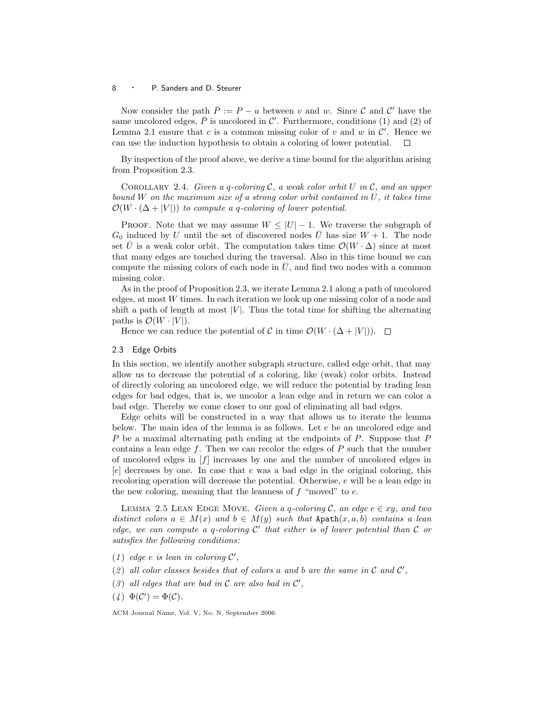Now consider the path  $\overline{P} := P - u$  between v and w. Since C and C' have the same uncolored edges,  $\overline{P}$  is uncolored in C'. Furthermore, conditions (1) and (2) of Lemma 2.1 ensure that c is a common missing color of v and w in  $\mathcal{C}'$ . Hence we can use the induction hypothesis to obtain a coloring of lower potential.  $\Box$ 

By inspection of the proof above, we derive a time bound for the algorithm arising from Proposition 2.3.

COROLLARY 2.4. Given a q-coloring  $\mathcal C$ , a weak color orbit U in  $\mathcal C$ , and an upper bound W on the maximum size of a strong color orbit contained in  $U$ , it takes time  $\mathcal{O}(W \cdot (\Delta + |V|))$  to compute a q-coloring of lower potential.

PROOF. Note that we may assume  $W \leq |U| - 1$ . We traverse the subgraph of  $G_0$  induced by U until the set of discovered nodes  $\overline{U}$  has size  $W + 1$ . The node set  $\bar{U}$  is a weak color orbit. The computation takes time  $\mathcal{O}(W \cdot \Delta)$  since at most that many edges are touched during the traversal. Also in this time bound we can compute the missing colors of each node in  $U$ , and find two nodes with a common missing color.

As in the proof of Proposition 2.3, we iterate Lemma 2.1 along a path of uncolored edges, at most W times. In each iteration we look up one missing color of a node and shift a path of length at most  $|V|$ . Thus the total time for shifting the alternating paths is  $\mathcal{O}(W \cdot |V|)$ .

Hence we can reduce the potential of C in time  $\mathcal{O}(W \cdot (\Delta + |V|))$ .  $\Box$ 

#### 2.3 Edge Orbits

In this section, we identify another subgraph structure, called edge orbit, that may allow us to decrease the potential of a coloring, like (weak) color orbits. Instead of directly coloring an uncolored edge, we will reduce the potential by trading lean edges for bad edges, that is, we uncolor a lean edge and in return we can color a bad edge. Thereby we come closer to our goal of eliminating all bad edges.

Edge orbits will be constructed in a way that allows us to iterate the lemma below. The main idea of the lemma is as follows. Let  $e$  be an uncolored edge and P be a maximal alternating path ending at the endpoints of P. Suppose that P contains a lean edge  $f$ . Then we can recolor the edges of  $P$  such that the number of uncolored edges in [f] increases by one and the number of uncolored edges in  $[e]$  decreases by one. In case that e was a bad edge in the original coloring, this recoloring operation will decrease the potential. Otherwise, e will be a lean edge in the new coloring, meaning that the leanness of  $f$  "moved" to  $e$ .

LEMMA 2.5 LEAN EDGE MOVE. Given a q-coloring C, an edge  $e \in xy$ , and two distinct colors  $a \in M(x)$  and  $b \in M(y)$  such that Apath $(x, a, b)$  contains a lean edge, we can compute a q-coloring  $C'$  that either is of lower potential than  $C$  or satisfies the following conditions:

- (1) edge e is lean in coloring  $\mathcal{C}'$ ,
- (2) all color classes besides that of colors a and b are the same in  $\mathcal C$  and  $\mathcal C'$ ,
- (3) all edges that are bad in  $\mathcal C$  are also bad in  $\mathcal C'$ ,
- $(4) \Phi(C') = \Phi(C).$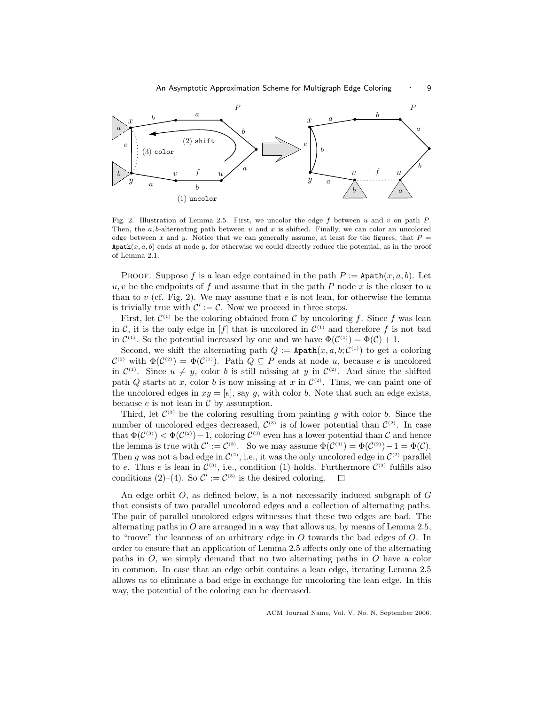

Fig. 2. Illustration of Lemma 2.5. First, we uncolor the edge f between u and v on path  $P$ . Then, the  $a, b$ -alternating path between u and x is shifted. Finally, we can color an uncolored edge between x and y. Notice that we can generally assume, at least for the figures, that  $P =$ Apath $(x, a, b)$  ends at node y, for otherwise we could directly reduce the potential, as in the proof of Lemma 2.1.

**PROOF.** Suppose f is a lean edge contained in the path  $P :=$  Apath $(x, a, b)$ . Let  $u, v$  be the endpoints of f and assume that in the path P node x is the closer to u than to v (cf. Fig. 2). We may assume that e is not lean, for otherwise the lemma is trivially true with  $\mathcal{C}' := \mathcal{C}$ . Now we proceed in three steps.

First, let  $\mathcal{C}^{(1)}$  be the coloring obtained from C by uncoloring f. Since f was lean in C, it is the only edge in  $[f]$  that is uncolored in  $\mathcal{C}^{(1)}$  and therefore f is not bad in  $\mathcal{C}^{(1)}$ . So the potential increased by one and we have  $\Phi(\mathcal{C}^{(1)}) = \Phi(\mathcal{C}) + 1$ .

Second, we shift the alternating path  $Q := \texttt{Apath}(x, a, b; C^{(1)})$  to get a coloring  $\mathcal{C}^{(2)}$  with  $\Phi(\mathcal{C}^{(2)}) = \Phi(\mathcal{C}^{(1)})$ . Path  $Q \subseteq P$  ends at node u, because e is uncolored in  $\mathcal{C}^{(1)}$ . Since  $u \neq y$ , color b is still missing at y in  $\mathcal{C}^{(2)}$ . And since the shifted path Q starts at x, color b is now missing at x in  $\mathcal{C}^{(2)}$ . Thus, we can paint one of the uncolored edges in  $xy = [e]$ , say g, with color b. Note that such an edge exists, because  $e$  is not lean in  $\mathcal C$  by assumption.

Third, let  $\mathcal{C}^{(3)}$  be the coloring resulting from painting g with color b. Since the number of uncolored edges decreased,  $\mathcal{C}^{(3)}$  is of lower potential than  $\mathcal{C}^{(2)}$ . In case that  $\Phi(\mathcal{C}^{(3)}) < \Phi(\mathcal{C}^{(2)})-1$ , coloring  $\mathcal{C}^{(3)}$  even has a lower potential than C and hence the lemma is true with  $\mathcal{C}' := \mathcal{C}^{(3)}$ . So we may assume  $\Phi(\mathcal{C}^{(3)}) = \Phi(\mathcal{C}^{(2)}) - 1 = \Phi(\mathcal{C})$ . Then g was not a bad edge in  $\mathcal{C}^{(2)}$ , i.e., it was the only uncolored edge in  $\mathcal{C}^{(2)}$  parallel to e. Thus e is lean in  $\mathcal{C}^{(3)}$ , i.e., condition (1) holds. Furthermore  $\mathcal{C}^{(3)}$  fulfills also conditions (2)–(4). So  $\mathcal{C}' := \mathcal{C}^{(3)}$  is the desired coloring.  $\Box$ 

An edge orbit  $O$ , as defined below, is a not necessarily induced subgraph of  $G$ that consists of two parallel uncolored edges and a collection of alternating paths. The pair of parallel uncolored edges witnesses that these two edges are bad. The alternating paths in  $O$  are arranged in a way that allows us, by means of Lemma 2.5, to "move" the leanness of an arbitrary edge in  $O$  towards the bad edges of  $O$ . In order to ensure that an application of Lemma 2.5 affects only one of the alternating paths in O, we simply demand that no two alternating paths in O have a color in common. In case that an edge orbit contains a lean edge, iterating Lemma 2.5 allows us to eliminate a bad edge in exchange for uncoloring the lean edge. In this way, the potential of the coloring can be decreased.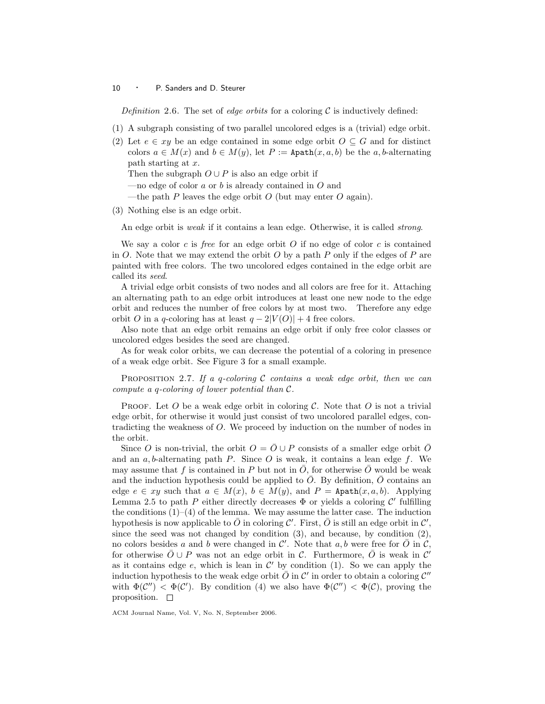Definition 2.6. The set of edge orbits for a coloring  $\mathcal C$  is inductively defined:

- (1) A subgraph consisting of two parallel uncolored edges is a (trivial) edge orbit.
- (2) Let  $e \in xy$  be an edge contained in some edge orbit  $O \subseteq G$  and for distinct colors  $a \in M(x)$  and  $b \in M(y)$ , let  $P :=$  Apath $(x, a, b)$  be the a, b-alternating path starting at x.

Then the subgraph  $O \cup P$  is also an edge orbit if

- —no edge of color  $a$  or  $b$  is already contained in  $O$  and
- —the path P leaves the edge orbit O (but may enter O again).
- (3) Nothing else is an edge orbit.

An edge orbit is *weak* if it contains a lean edge. Otherwise, it is called *strong*.

We say a color c is free for an edge orbit  $O$  if no edge of color c is contained in O. Note that we may extend the orbit O by a path P only if the edges of P are painted with free colors. The two uncolored edges contained in the edge orbit are called its seed.

A trivial edge orbit consists of two nodes and all colors are free for it. Attaching an alternating path to an edge orbit introduces at least one new node to the edge orbit and reduces the number of free colors by at most two. Therefore any edge orbit O in a q-coloring has at least  $q - 2|V(O)| + 4$  free colors.

Also note that an edge orbit remains an edge orbit if only free color classes or uncolored edges besides the seed are changed.

As for weak color orbits, we can decrease the potential of a coloring in presence of a weak edge orbit. See Figure 3 for a small example.

PROPOSITION 2.7. If a q-coloring C contains a weak edge orbit, then we can compute a q-coloring of lower potential than C.

PROOF. Let O be a weak edge orbit in coloring  $\mathcal{C}$ . Note that O is not a trivial edge orbit, for otherwise it would just consist of two uncolored parallel edges, contradicting the weakness of O. We proceed by induction on the number of nodes in the orbit.

Since O is non-trivial, the orbit  $O = \overline{O} \cup P$  consists of a smaller edge orbit  $\overline{O}$ and an  $a, b$ -alternating path  $P$ . Since  $O$  is weak, it contains a lean edge  $f$ . We may assume that f is contained in P but not in  $\overline{O}$ , for otherwise  $\overline{O}$  would be weak and the induction hypothesis could be applied to  $O$ . By definition,  $O$  contains an edge  $e \in xy$  such that  $a \in M(x)$ ,  $b \in M(y)$ , and  $P = \text{Apath}(x, a, b)$ . Applying Lemma 2.5 to path P either directly decreases  $\Phi$  or yields a coloring C' fulfilling the conditions  $(1)$ – $(4)$  of the lemma. We may assume the latter case. The induction hypothesis is now applicable to  $\bar{O}$  in coloring C'. First,  $\bar{O}$  is still an edge orbit in C', since the seed was not changed by condition  $(3)$ , and because, by condition  $(2)$ , no colors besides a and b were changed in  $\mathcal{C}'$ . Note that a, b were free for  $\bar{O}$  in  $\tilde{C}$ , for otherwise  $\bar{O} \cup P$  was not an edge orbit in C. Furthermore,  $\bar{O}$  is weak in C' as it contains edge  $e$ , which is lean in  $\mathcal{C}'$  by condition (1). So we can apply the induction hypothesis to the weak edge orbit  $\overline{O}$  in  $\mathcal{C}'$  in order to obtain a coloring  $\mathcal{C}''$ with  $\Phi(\mathcal{C}'') < \Phi(\mathcal{C}')$ . By condition (4) we also have  $\Phi(\mathcal{C}'') < \Phi(\mathcal{C})$ , proving the proposition.  $\square$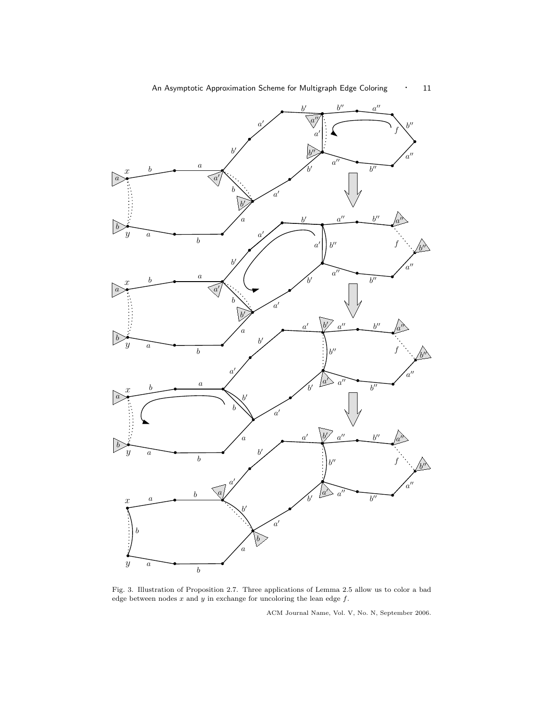

Fig. 3. Illustration of Proposition 2.7. Three applications of Lemma 2.5 allow us to color a bad edge between nodes  $x$  and  $y$  in exchange for uncoloring the lean edge  $f$ .

a

 $\widetilde{b}$ 

 $\boldsymbol{b}$ 

 $\bar{y}$ 

a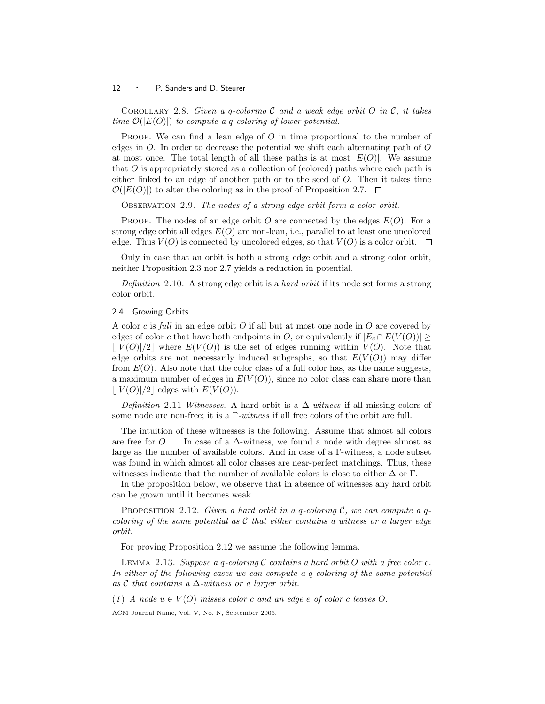COROLLARY 2.8. Given a q-coloring  $\mathcal C$  and a weak edge orbit  $O$  in  $\mathcal C$ , it takes time  $\mathcal{O}(|E(O)|)$  to compute a q-coloring of lower potential.

PROOF. We can find a lean edge of  $O$  in time proportional to the number of edges in  $O$ . In order to decrease the potential we shift each alternating path of  $O$ at most once. The total length of all these paths is at most  $|E(O)|$ . We assume that  $\hat{O}$  is appropriately stored as a collection of (colored) paths where each path is either linked to an edge of another path or to the seed of O. Then it takes time  $\mathcal{O}(|E(O)|)$  to alter the coloring as in the proof of Proposition 2.7.  $\Box$ 

OBSERVATION 2.9. The nodes of a strong edge orbit form a color orbit.

**PROOF.** The nodes of an edge orbit O are connected by the edges  $E(O)$ . For a strong edge orbit all edges  $E(O)$  are non-lean, i.e., parallel to at least one uncolored edge. Thus  $V(O)$  is connected by uncolored edges, so that  $V(O)$  is a color orbit.  $\Box$ 

Only in case that an orbit is both a strong edge orbit and a strong color orbit, neither Proposition 2.3 nor 2.7 yields a reduction in potential.

Definition 2.10. A strong edge orbit is a hard orbit if its node set forms a strong color orbit.

# 2.4 Growing Orbits

A color c is full in an edge orbit O if all but at most one node in O are covered by edges of color c that have both endpoints in O, or equivalently if  $|E_c \cap E(V(O))|$  ≥  $|V(O)|/2|$  where  $E(V(O))$  is the set of edges running within  $V(O)$ . Note that edge orbits are not necessarily induced subgraphs, so that  $E(V(O))$  may differ from  $E(O)$ . Also note that the color class of a full color has, as the name suggests, a maximum number of edges in  $E(V(O))$ , since no color class can share more than  $||V(O)||/2|$  edges with  $E(V(O))$ .

Definition 2.11 Witnesses. A hard orbit is a  $\Delta$ -witness if all missing colors of some node are non-free; it is a Γ-witness if all free colors of the orbit are full.

The intuition of these witnesses is the following. Assume that almost all colors are free for O. In case of a  $\Delta$ -witness, we found a node with degree almost as large as the number of available colors. And in case of a Γ-witness, a node subset was found in which almost all color classes are near-perfect matchings. Thus, these witnesses indicate that the number of available colors is close to either  $\Delta$  or  $\Gamma$ .

In the proposition below, we observe that in absence of witnesses any hard orbit can be grown until it becomes weak.

PROPOSITION 2.12. Given a hard orbit in a q-coloring  $\mathcal{C}$ , we can compute a qcoloring of the same potential as  $\mathcal C$  that either contains a witness or a larger edge orbit.

For proving Proposition 2.12 we assume the following lemma.

LEMMA 2.13. Suppose a q-coloring  $C$  contains a hard orbit  $O$  with a free color  $c$ . In either of the following cases we can compute a q-coloring of the same potential as  $\mathcal C$  that contains a  $\Delta$ -witness or a larger orbit.

(1) A node  $u \in V(O)$  misses color c and an edge e of color c leaves O.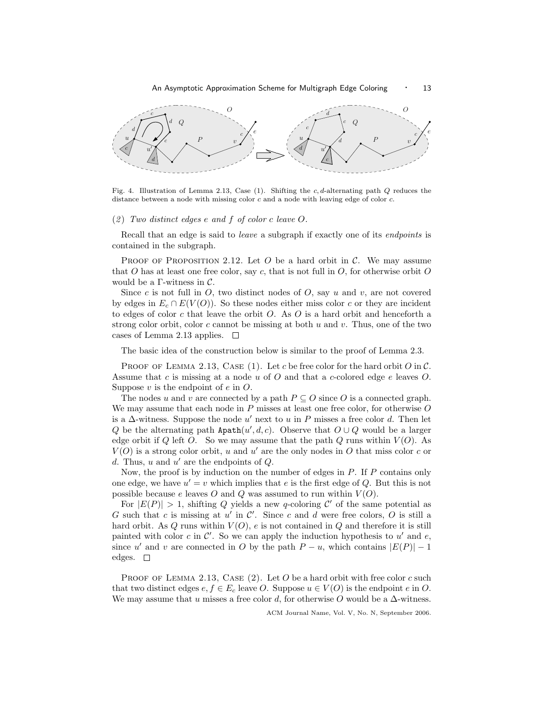

Fig. 4. Illustration of Lemma 2.13, Case (1). Shifting the c, d-alternating path  $Q$  reduces the distance between a node with missing color c and a node with leaving edge of color c.

## $(2)$  Two distinct edges e and f of color c leave O.

Recall that an edge is said to *leave* a subgraph if exactly one of its *endpoints* is contained in the subgraph.

PROOF OF PROPOSITION 2.12. Let  $O$  be a hard orbit in  $C$ . We may assume that O has at least one free color, say c, that is not full in  $O$ , for otherwise orbit O would be a  $\Gamma$ -witness in  $\mathcal{C}$ .

Since c is not full in  $O$ , two distinct nodes of  $O$ , say u and v, are not covered by edges in  $E_c \cap E(V(O))$ . So these nodes either miss color c or they are incident to edges of color c that leave the orbit  $O$ . As  $O$  is a hard orbit and henceforth a strong color orbit, color c cannot be missing at both  $u$  and  $v$ . Thus, one of the two cases of Lemma 2.13 applies.  $\square$ 

The basic idea of the construction below is similar to the proof of Lemma 2.3.

PROOF OF LEMMA 2.13, CASE (1). Let c be free color for the hard orbit  $O$  in  $\mathcal{C}$ . Assume that c is missing at a node  $u$  of  $O$  and that a c-colored edge  $e$  leaves  $O$ . Suppose  $v$  is the endpoint of  $e$  in  $O$ .

The nodes u and v are connected by a path  $P \subseteq O$  since O is a connected graph. We may assume that each node in  $P$  misses at least one free color, for otherwise  $O$ is a  $\Delta$ -witness. Suppose the node u' next to u in P misses a free color d. Then let Q be the alternating path  $\text{Apath}(u', d, c)$ . Observe that  $O \cup Q$  would be a larger edge orbit if Q left O. So we may assume that the path Q runs within  $V(O)$ . As  $V(O)$  is a strong color orbit, u and u' are the only nodes in O that miss color c or d. Thus,  $u$  and  $u'$  are the endpoints of  $Q$ .

Now, the proof is by induction on the number of edges in  $P$ . If  $P$  contains only one edge, we have  $u' = v$  which implies that e is the first edge of Q. But this is not possible because  $e$  leaves  $O$  and  $Q$  was assumed to run within  $V(O)$ .

For  $|E(P)| > 1$ , shifting Q yields a new q-coloring C' of the same potential as G such that c is missing at  $u'$  in  $\mathcal{C}'$ . Since c and d were free colors, O is still a hard orbit. As  $Q$  runs within  $V(O)$ ,  $e$  is not contained in  $Q$  and therefore it is still painted with color  $c$  in  $\mathcal{C}'$ . So we can apply the induction hypothesis to  $u'$  and  $e$ , since u' and v are connected in O by the path  $P - u$ , which contains  $|E(P)| - 1$ edges.  $\square$ 

PROOF OF LEMMA 2.13, CASE  $(2)$ . Let O be a hard orbit with free color c such that two distinct edges  $e, f \in E_c$  leave O. Suppose  $u \in V(O)$  is the endpoint e in O. We may assume that u misses a free color d, for otherwise O would be a  $\Delta$ -witness.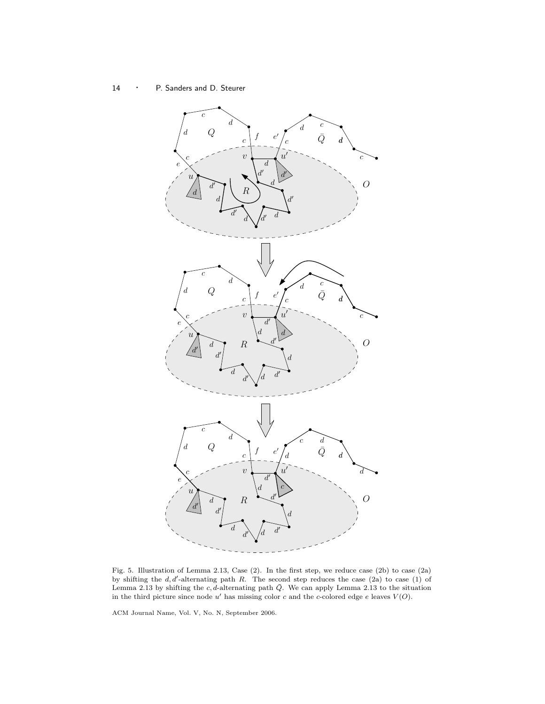14 · P. Sanders and D. Steurer



Fig. 5. Illustration of Lemma 2.13, Case (2). In the first step, we reduce case (2b) to case (2a) by shifting the  $d, d'$ -alternating path R. The second step reduces the case (2a) to case (1) of Lemma 2.13 by shifting the c, d-alternating path  $\overline{Q}$ . We can apply Lemma 2.13 to the situation in the third picture since node  $u'$  has missing color c and the c-colored edge e leaves  $V(O)$ .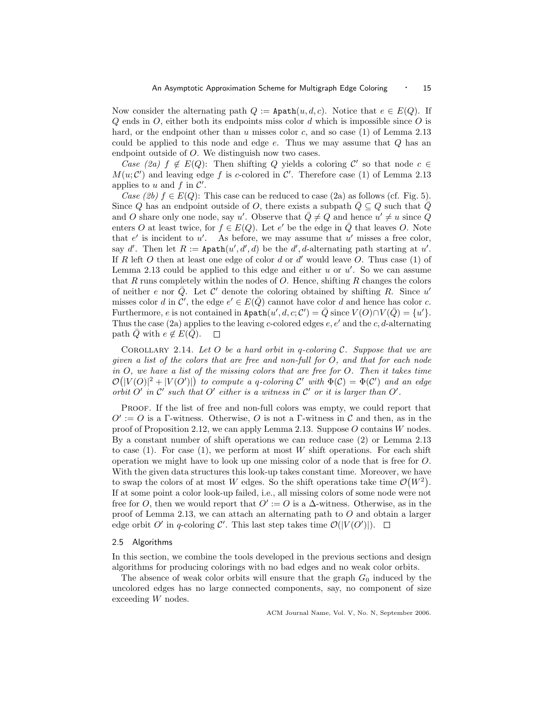Now consider the alternating path  $Q := \texttt{Apath}(u, d, c)$ . Notice that  $e \in E(Q)$ . If  $Q$  ends in  $O$ , either both its endpoints miss color  $d$  which is impossible since  $O$  is hard, or the endpoint other than u misses color c, and so case  $(1)$  of Lemma 2.13 could be applied to this node and edge  $e$ . Thus we may assume that  $Q$  has an endpoint outside of O. We distinguish now two cases.

Case (2a)  $f \notin E(Q)$ : Then shifting Q yields a coloring C' so that node  $c \in$  $M(u; \mathcal{C}')$  and leaving edge f is c-colored in  $\mathcal{C}'$ . Therefore case (1) of Lemma 2.13 applies to u and f in  $\mathcal{C}'$ .

Case (2b)  $f \in E(Q)$ : This case can be reduced to case (2a) as follows (cf. Fig. 5). Since Q has an endpoint outside of O, there exists a subpath  $Q \subseteq Q$  such that Q and O share only one node, say u'. Observe that  $\overline{Q} \neq Q$  and hence  $u' \neq u$  since Q enters O at least twice, for  $f \in E(Q)$ . Let e' be the edge in  $\overline{Q}$  that leaves O. Note that  $e'$  is incident to  $u'$ . As before, we may assume that  $u'$  misses a free color, say d'. Then let  $R := \texttt{Apath}(u', d', d)$  be the d', d-alternating path starting at u'. If R left O then at least one edge of color  $d$  or  $d'$  would leave O. Thus case (1) of Lemma 2.13 could be applied to this edge and either  $u$  or  $u'$ . So we can assume that R runs completely within the nodes of  $O$ . Hence, shifting R changes the colors of neither e nor  $\overline{Q}$ . Let C' denote the coloring obtained by shifting R. Since u' misses color d in  $\mathcal{C}'$ , the edge  $e' \in E(\bar{Q})$  cannot have color d and hence has color c. Furthermore, e is not contained in Apath $(u', d, c; \mathcal{C}') = \overline{Q}$  since  $V(O) \cap V(\overline{Q}) = \{u'\}.$ Thus the case (2a) applies to the leaving c-colored edges  $e, e'$  and the c, d-alternating path  $\overline{Q}$  with  $e \notin E(\overline{Q})$ .  $\Box$ 

COROLLARY 2.14. Let O be a hard orbit in q-coloring  $\mathcal{C}$ . Suppose that we are given a list of the colors that are free and non-full for O, and that for each node in O, we have a list of the missing colors that are free for O. Then it takes time  $\mathcal{O}(|V(O)|^2 + |V(O')|)$  to compute a q-coloring C' with  $\Phi(\mathcal{C}) = \Phi(\mathcal{C}')$  and an edge orbit O' in  $\mathcal{C}'$  such that O' either is a witness in  $\mathcal{C}'$  or it is larger than  $O'$ .

Proof. If the list of free and non-full colors was empty, we could report that  $O' := O$  is a Γ-witness. Otherwise, O is not a Γ-witness in C and then, as in the proof of Proposition 2.12, we can apply Lemma 2.13. Suppose O contains W nodes. By a constant number of shift operations we can reduce case (2) or Lemma 2.13 to case  $(1)$ . For case  $(1)$ , we perform at most W shift operations. For each shift operation we might have to look up one missing color of a node that is free for O. With the given data structures this look-up takes constant time. Moreover, we have to swap the colors of at most W edges. So the shift operations take time  $\mathcal{O}(W^2)$ . If at some point a color look-up failed, i.e., all missing colors of some node were not free for O, then we would report that  $O' := O$  is a  $\Delta$ -witness. Otherwise, as in the proof of Lemma 2.13, we can attach an alternating path to  $O$  and obtain a larger edge orbit O' in q-coloring C'. This last step takes time  $\mathcal{O}(|V(O')|)$ .

# 2.5 Algorithms

In this section, we combine the tools developed in the previous sections and design algorithms for producing colorings with no bad edges and no weak color orbits.

The absence of weak color orbits will ensure that the graph  $G_0$  induced by the uncolored edges has no large connected components, say, no component of size exceeding W nodes.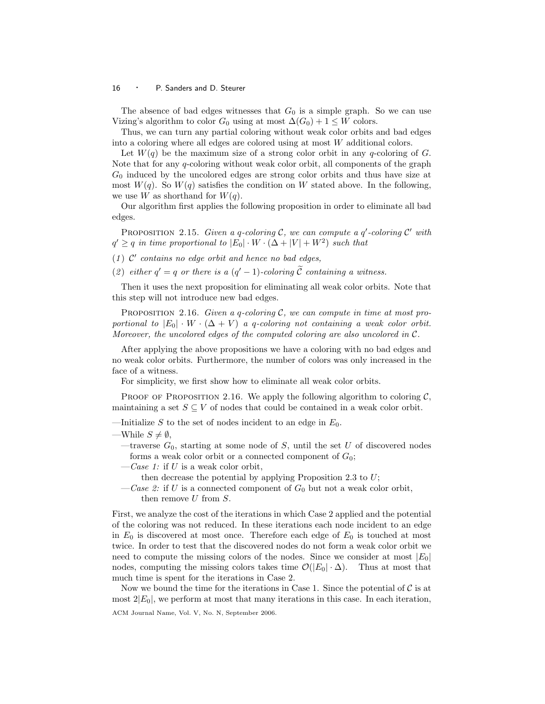The absence of bad edges witnesses that  $G_0$  is a simple graph. So we can use Vizing's algorithm to color  $G_0$  using at most  $\Delta(G_0) + 1 \leq W$  colors.

Thus, we can turn any partial coloring without weak color orbits and bad edges into a coloring where all edges are colored using at most W additional colors.

Let  $W(q)$  be the maximum size of a strong color orbit in any q-coloring of G. Note that for any  $q$ -coloring without weak color orbit, all components of the graph  $G_0$  induced by the uncolored edges are strong color orbits and thus have size at most  $W(q)$ . So  $W(q)$  satisfies the condition on W stated above. In the following, we use W as shorthand for  $W(q)$ .

Our algorithm first applies the following proposition in order to eliminate all bad edges.

PROPOSITION 2.15. Given a q-coloring C, we can compute a  $q'$ -coloring C' with  $q' \geq q$  in time proportional to  $|E_0| \cdot W \cdot (\Delta + |V| + W^2)$  such that

- (1)  $\mathcal{C}'$  contains no edge orbit and hence no bad edges,
- (2) either  $q' = q$  or there is a  $(q' 1)$ -coloring  $\tilde{C}$  containing a witness.

Then it uses the next proposition for eliminating all weak color orbits. Note that this step will not introduce new bad edges.

PROPOSITION 2.16. Given a q-coloring  $C$ , we can compute in time at most proportional to  $|E_0| \cdot W \cdot (\Delta + V)$  a q-coloring not containing a weak color orbit. Moreover, the uncolored edges of the computed coloring are also uncolored in  $\mathcal{C}$ .

After applying the above propositions we have a coloring with no bad edges and no weak color orbits. Furthermore, the number of colors was only increased in the face of a witness.

For simplicity, we first show how to eliminate all weak color orbits.

PROOF OF PROPOSITION 2.16. We apply the following algorithm to coloring  $\mathcal{C}$ . maintaining a set  $S \subseteq V$  of nodes that could be contained in a weak color orbit.

—Initialize S to the set of nodes incident to an edge in  $E_0$ .

—traverse  $G_0$ , starting at some node of S, until the set U of discovered nodes forms a weak color orbit or a connected component of  $G_0$ ;

 $\,-\mathit{Case}\,1$ : if U is a weak color orbit,

then decrease the potential by applying Proposition 2.3 to  $U$ ;

 $-Case 2$ : if U is a connected component of  $G_0$  but not a weak color orbit, then remove U from S.

First, we analyze the cost of the iterations in which Case 2 applied and the potential of the coloring was not reduced. In these iterations each node incident to an edge in  $E_0$  is discovered at most once. Therefore each edge of  $E_0$  is touched at most twice. In order to test that the discovered nodes do not form a weak color orbit we need to compute the missing colors of the nodes. Since we consider at most  $|E_0|$ nodes, computing the missing colors takes time  $\mathcal{O}(|E_0| \cdot \Delta)$ . Thus at most that much time is spent for the iterations in Case 2.

Now we bound the time for the iterations in Case 1. Since the potential of  $\mathcal C$  is at most  $2|E_0|$ , we perform at most that many iterations in this case. In each iteration,

<sup>—</sup>While  $S \neq \emptyset$ ,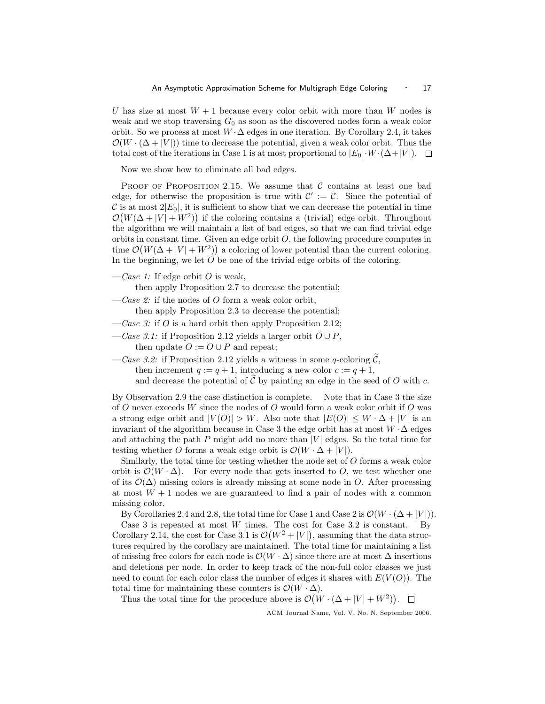U has size at most  $W + 1$  because every color orbit with more than W nodes is weak and we stop traversing  $G_0$  as soon as the discovered nodes form a weak color orbit. So we process at most  $W \cdot \Delta$  edges in one iteration. By Corollary 2.4, it takes  $\mathcal{O}(W \cdot (\Delta + |V|))$  time to decrease the potential, given a weak color orbit. Thus the total cost of the iterations in Case 1 is at most proportional to  $|E_0|\cdot W\cdot(\Delta+|V|)$ .

Now we show how to eliminate all bad edges.

PROOF OF PROPOSITION 2.15. We assume that  $\mathcal C$  contains at least one bad edge, for otherwise the proposition is true with  $\mathcal{C}' := \mathcal{C}$ . Since the potential of C is at most  $2|E_0|$ , it is sufficient to show that we can decrease the potential in time  $\mathcal{O}(W(\Delta + |V| + W^2))$  if the coloring contains a (trivial) edge orbit. Throughout the algorithm we will maintain a list of bad edges, so that we can find trivial edge orbits in constant time. Given an edge orbit  $O$ , the following procedure computes in time  $\mathcal{O}(W(\Delta + |V| + W^2))$  a coloring of lower potential than the current coloring. In the beginning, we let  $O$  be one of the trivial edge orbits of the coloring.

 $\cos 1$ : If edge orbit O is weak,

then apply Proposition 2.7 to decrease the potential;

- $-Case 2$ : if the nodes of O form a weak color orbit, then apply Proposition 2.3 to decrease the potential;
- $\,-\,\mathit{Case 3:}$  if O is a hard orbit then apply Proposition 2.12;
- —Case 3.1: if Proposition 2.12 yields a larger orbit  $O \cup P$ , then update  $O := O \cup P$  and repeat;
- —Case 3.2: if Proposition 2.12 yields a witness in some q-coloring  $\widetilde{\mathcal{C}}$ , then increment  $q := q + 1$ , introducing a new color  $c := q + 1$ , and decrease the potential of  $C$  by painting an edge in the seed of  $O$  with  $c$ .

By Observation 2.9 the case distinction is complete. Note that in Case 3 the size of O never exceeds W since the nodes of O would form a weak color orbit if O was a strong edge orbit and  $|V(O)| > W$ . Also note that  $|E(O)| \leq W \cdot \Delta + |V|$  is an invariant of the algorithm because in Case 3 the edge orbit has at most  $W \cdot \Delta$  edges and attaching the path  $P$  might add no more than  $|V|$  edges. So the total time for testing whether O forms a weak edge orbit is  $\mathcal{O}(W \cdot \Delta + |V|)$ .

Similarly, the total time for testing whether the node set of O forms a weak color orbit is  $\mathcal{O}(W \cdot \Delta)$ . For every node that gets inserted to O, we test whether one of its  $\mathcal{O}(\Delta)$  missing colors is already missing at some node in O. After processing at most  $W + 1$  nodes we are guaranteed to find a pair of nodes with a common missing color.

By Corollaries 2.4 and 2.8, the total time for Case 1 and Case 2 is  $\mathcal{O}(W \cdot (\Delta + |V|))$ . Case 3 is repeated at most  $W$  times. The cost for Case 3.2 is constant. By Corollary 2.14, the cost for Case 3.1 is  $\mathcal{O}(W^2 + |V|)$ , assuming that the data structures required by the corollary are maintained. The total time for maintaining a list of missing free colors for each node is  $\mathcal{O}(W \cdot \Delta)$  since there are at most  $\Delta$  insertions and deletions per node. In order to keep track of the non-full color classes we just need to count for each color class the number of edges it shares with  $E(V(O))$ . The total time for maintaining these counters is  $\mathcal{O}(W \cdot \Delta)$ .

Thus the total time for the procedure above is  $\mathcal{O}(W \cdot (\Delta + |V| + W^2)).$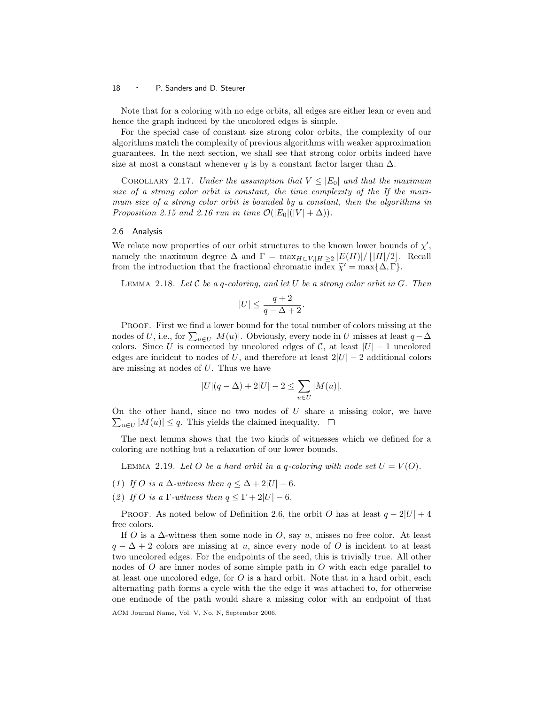Note that for a coloring with no edge orbits, all edges are either lean or even and hence the graph induced by the uncolored edges is simple.

For the special case of constant size strong color orbits, the complexity of our algorithms match the complexity of previous algorithms with weaker approximation guarantees. In the next section, we shall see that strong color orbits indeed have size at most a constant whenever q is by a constant factor larger than  $\Delta$ .

COROLLARY 2.17. Under the assumption that  $V \leq |E_0|$  and that the maximum size of a strong color orbit is constant, the time complexity of the If the maximum size of a strong color orbit is bounded by a constant, then the algorithms in Proposition 2.15 and 2.16 run in time  $\mathcal{O}(|E_0|(|V| + \Delta))$ .

#### 2.6 Analysis

We relate now properties of our orbit structures to the known lower bounds of  $\chi'$ , namely the maximum degree  $\Delta$  and  $\Gamma = \max_{H \subset V, |H| > 2} |E(H)| / |H|/2$ . Recall from the introduction that the fractional chromatic index  $\widetilde{\chi}' = \max{\{\Delta, \Gamma\}}$ .

LEMMA 2.18. Let  $\mathcal C$  be a q-coloring, and let  $U$  be a strong color orbit in  $G$ . Then

$$
|U| \le \frac{q+2}{q-\Delta+2}.
$$

PROOF. First we find a lower bound for the total number of colors missing at the nodes of U, i.e., for  $\sum_{u \in U} |M(u)|$ . Obviously, every node in U misses at least  $q - \Delta$ colors. Since U is connected by uncolored edges of C, at least  $|U| - 1$  uncolored edges are incident to nodes of U, and therefore at least  $2|U| - 2$  additional colors are missing at nodes of U. Thus we have

$$
|U|(q-\Delta)+2|U|-2\leq \sum_{u\in U}|M(u)|.
$$

On the other hand, since no two nodes of  $U$  share a missing color, we have  $\sum_{u \in U} |M(u)| \leq q$ . This yields the claimed inequality.

The next lemma shows that the two kinds of witnesses which we defined for a coloring are nothing but a relaxation of our lower bounds.

LEMMA 2.19. Let O be a hard orbit in a q-coloring with node set  $U = V(O)$ .

(1) If O is a  $\Delta$ -witness then  $q \leq \Delta + 2|U| - 6$ .

(2) If O is a  $\Gamma$ -witness then  $q \leq \Gamma + 2|U| - 6$ .

PROOF. As noted below of Definition 2.6, the orbit O has at least  $q - 2|U| + 4$ free colors.

If O is a  $\Delta$ -witness then some node in O, say u, misses no free color. At least  $q - \Delta + 2$  colors are missing at u, since every node of O is incident to at least two uncolored edges. For the endpoints of the seed, this is trivially true. All other nodes of  $O$  are inner nodes of some simple path in  $O$  with each edge parallel to at least one uncolored edge, for  $O$  is a hard orbit. Note that in a hard orbit, each alternating path forms a cycle with the the edge it was attached to, for otherwise one endnode of the path would share a missing color with an endpoint of that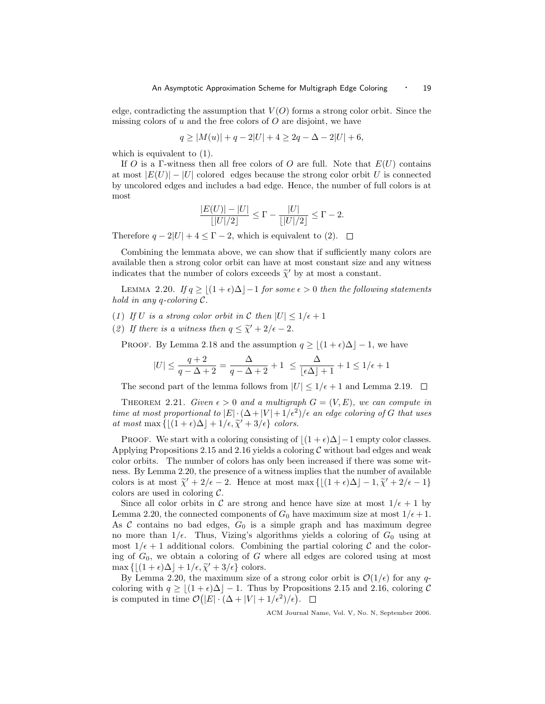edge, contradicting the assumption that  $V(O)$  forms a strong color orbit. Since the missing colors of  $u$  and the free colors of  $O$  are disjoint, we have

$$
q \ge |M(u)| + q - 2|U| + 4 \ge 2q - \Delta - 2|U| + 6,
$$

which is equivalent to  $(1)$ .

If O is a Γ-witness then all free colors of O are full. Note that  $E(U)$  contains at most  $|E(U)| - |U|$  colored edges because the strong color orbit U is connected by uncolored edges and includes a bad edge. Hence, the number of full colors is at most

$$
\frac{|E(U)| - |U|}{\lfloor |U|/2 \rfloor} \le \Gamma - \frac{|U|}{\lfloor |U|/2 \rfloor} \le \Gamma - 2.
$$

Therefore  $q - 2|U| + 4 \leq \Gamma - 2$ , which is equivalent to (2).  $\Box$ 

Combining the lemmata above, we can show that if sufficiently many colors are available then a strong color orbit can have at most constant size and any witness indicates that the number of colors exceeds  $\widetilde{\chi}'$  by at most a constant.

LEMMA 2.20. If  $q \ge |(1 + \epsilon)\Delta| - 1$  for some  $\epsilon > 0$  then the following statements hold in any q-coloring C.

- (1) If U is a strong color orbit in C then  $|U| \leq 1/\epsilon + 1$
- (2) If there is a witness then  $q \leq \tilde{\chi}' + 2/\epsilon 2$ .

PROOF. By Lemma 2.18 and the assumption  $q \ge |(1 + \epsilon)\Delta| - 1$ , we have

$$
|U| \le \frac{q+2}{q-\Delta+2} = \frac{\Delta}{q-\Delta+2} + 1 \le \frac{\Delta}{\lfloor \epsilon \Delta \rfloor + 1} + 1 \le 1/\epsilon + 1
$$

The second part of the lemma follows from  $|U| \leq 1/\epsilon + 1$  and Lemma 2.19.  $\Box$ 

THEOREM 2.21. Given  $\epsilon > 0$  and a multigraph  $G = (V, E)$ , we can compute in time at most proportional to  $|E| \cdot (\Delta + |V| + 1/\epsilon^2)/\epsilon$  an edge coloring of G that uses at most max  $\{[(1 + \epsilon)\Delta] + 1/\epsilon, \tilde{\chi}' + 3/\epsilon\}$  colors.

PROOF. We start with a coloring consisting of  $|(1 + \epsilon)\Delta|-1$  empty color classes. Applying Propositions 2.15 and 2.16 yields a coloring  $\mathcal C$  without bad edges and weak color orbits. The number of colors has only been increased if there was some witness. By Lemma 2.20, the presence of a witness implies that the number of available colors is at most  $\tilde{\chi}^{\prime} + 2/\epsilon - 2$ . Hence at most max  $\{[(1 + \epsilon)\Delta] - 1, \tilde{\chi}^{\prime} + 2/\epsilon - 1\}$ colors are used in coloring  $C$ .

Since all color orbits in C are strong and hence have size at most  $1/\epsilon + 1$  by Lemma 2.20, the connected components of  $G_0$  have maximum size at most  $1/\epsilon + 1$ . As  $\mathcal C$  contains no bad edges,  $G_0$  is a simple graph and has maximum degree no more than  $1/\epsilon$ . Thus, Vizing's algorithms yields a coloring of  $G_0$  using at most  $1/\epsilon + 1$  additional colors. Combining the partial coloring C and the coloring of  $G_0$ , we obtain a coloring of G where all edges are colored using at most max  $\{[(1 + \epsilon)\Delta] + 1/\epsilon, \tilde{\chi}' + 3/\epsilon\}$  colors.<br>By Lomma 2.20, the maximum size

By Lemma 2.20, the maximum size of a strong color orbit is  $\mathcal{O}(1/\epsilon)$  for any qcoloring with  $q > |(1 + \epsilon)\Delta| - 1$ . Thus by Propositions 2.15 and 2.16, coloring C is computed in time  $\mathcal{O}(|E| \cdot (\Delta + |V| + 1/\epsilon^2)/\epsilon)$ .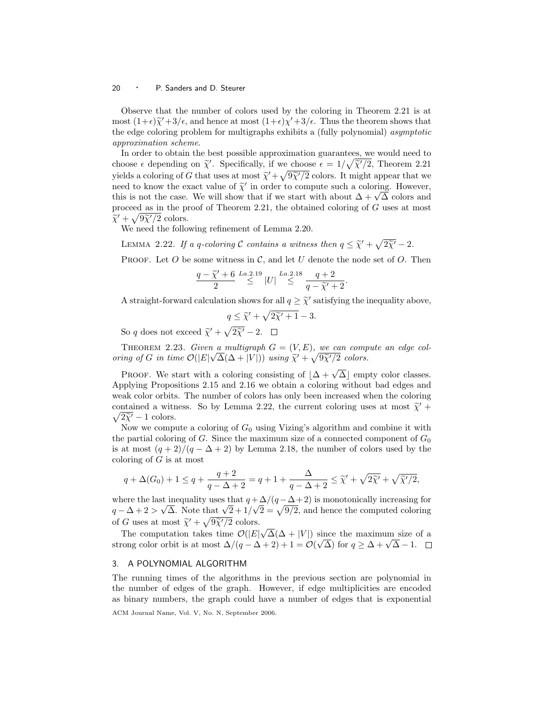Observe that the number of colors used by the coloring in Theorem 2.21 is at most  $(1+\epsilon)\tilde{\chi}'+3/\epsilon$ , and hence at most  $(1+\epsilon)\chi'+3/\epsilon$ . Thus the theorem shows that the odge coloring problem for multigraphs orbibits a (fully polynomial) geometric the edge coloring problem for multigraphs exhibits a (fully polynomial) asymptotic approximation scheme.

In order to obtain the best possible approximation guarantees, we would need to choose  $\epsilon$  depending on  $\tilde{\chi}'$ . Specifically, if we choose  $\epsilon = 1/\sqrt{\tilde{\chi}'/2}$ , Theorem 2.21 yields a coloring of G that uses at most  $\widetilde{\chi}^{\prime} + \sqrt{9\widetilde{\chi}^{\prime}/2}$  colors. It might appear that we<br>need to know the expet value of  $\widetilde{\kappa}^{\prime}$  in order to compute such a coloring. However need to know the exact value of  $\tilde{\chi}'$  in order to compute such a coloring. However,<br>this is not the exact We will show that if we start with about  $\Lambda + \sqrt{\Lambda}$  solars and here to know the exact value of  $\chi$  in order to compute such a coloring. However, this is not the case. We will show that if we start with about  $\Delta + \sqrt{\Delta}$  colors and proceed as in the proof of Theorem 2.21, the obtained coloring of G uses at most  $\widetilde{\chi}^{\prime} + \sqrt{9\widetilde{\chi}^{\prime}/2}$  colors.<br>We need the follo

We need the following refinement of Lemma 2.20.

LEMMA 2.22. If a q-coloring C contains a witness then  $q \leq \tilde{\chi}^{\prime} + \sqrt{2\tilde{\chi}^{\prime}} - 2$ .

PROOF. Let  $O$  be some witness in  $C$ , and let  $U$  denote the node set of  $O$ . Then

$$
\frac{q-\widetilde{\chi}'+6}{2} \stackrel{La.2.19}{\leq} |U| \stackrel{La.2.18}{\leq} \frac{q+2}{q-\widetilde{\chi}'+2}.
$$

A straight-forward calculation shows for all  $q \geq \tilde{\chi}'$  satisfying the inequality above,

$$
q \leq \widetilde{\chi}' + \sqrt{2\widetilde{\chi}' + 1} - 3.
$$

So q does not exceed  $\widetilde{\chi}^{\prime} + \sqrt{2\widetilde{\chi}^{\prime}} - 2$ .

THEOREM 2.23. Given a multigraph  $G = (V, E)$ , we can compute an edge coloring of G in time  $\mathcal{O}(|E|\sqrt{\Delta}(\Delta+|V|))$  using  $\widetilde{\chi}^{\prime} + \sqrt{9\widetilde{\chi}^{\prime}/2}$  colors.

PROOF. We start with a coloring consisting of  $|\Delta + \sqrt{\Delta}|$  empty color classes. Applying Propositions 2.15 and 2.16 we obtain a coloring without bad edges and weak color orbits. The number of colors has only been increased when the coloring contained a witness. So by Lemma 2.22, the current coloring uses at most  $\tilde{\chi}$  +  $\sqrt{2\tilde{\chi}}$  - 1 colors.  $2\widetilde{\chi}' - 1$  colors.<br>Now we comp

Now we compute a coloring of  $G_0$  using Vizing's algorithm and combine it with the partial coloring of G. Since the maximum size of a connected component of  $G_0$ is at most  $(q+2)/(q-\Delta+2)$  by Lemma 2.18, the number of colors used by the coloring of  $G$  is at most

$$
q + \Delta(G_0) + 1 \le q + \frac{q+2}{q-\Delta+2} = q + 1 + \frac{\Delta}{q-\Delta+2} \le \widetilde{\chi}' + \sqrt{2\widetilde{\chi}'} + \sqrt{\widetilde{\chi}'/2},
$$

where the last inequality uses that  $q + \frac{\Delta}{q} \left( \frac{q - \Delta + 2}{q - \Delta + 2} \right)$  is monotonically increasing for where the last inequality uses that  $q + \frac{\Delta}{q} + \frac{\Delta}{3}$  is monotonically increasing for  $q - \Delta + 2 > \sqrt{\Delta}$ . Note that  $\sqrt{2} + 1/\sqrt{2} = \sqrt{9/2}$ , and hence the computed coloring of G uses at most  $\tilde{\chi}^{\prime} + \sqrt{9\tilde{\chi}^{\prime}/2}$  colors. √

The computation takes time  $\mathcal{O}(|E|)$  $\Delta(\Delta + |V|)$  since the maximum size of a The computation takes time  $O(|E| \sqrt{\Delta}(\Delta + |V|))$  since the maximum size of strong color orbit is at most  $\Delta/(q - \Delta + 2) + 1 = O(\sqrt{\Delta})$  for  $q \ge \Delta + \sqrt{\Delta} - 1$ .

# 3. A POLYNOMIAL ALGORITHM

The running times of the algorithms in the previous section are polynomial in the number of edges of the graph. However, if edge multiplicities are encoded as binary numbers, the graph could have a number of edges that is exponential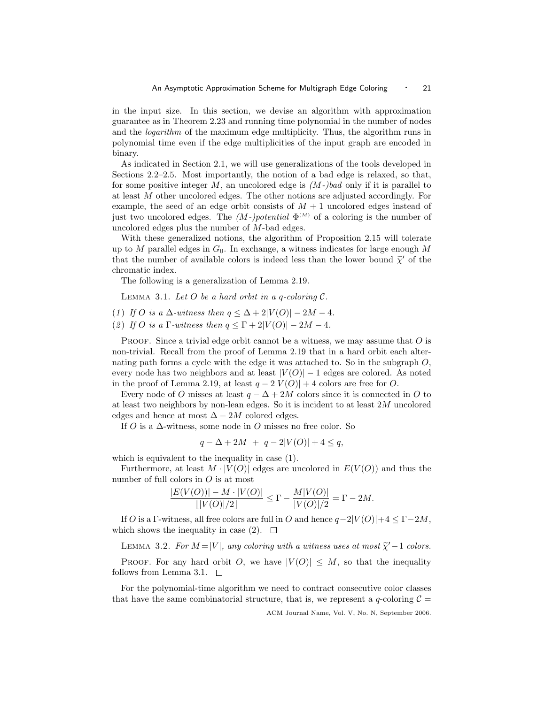in the input size. In this section, we devise an algorithm with approximation guarantee as in Theorem 2.23 and running time polynomial in the number of nodes and the logarithm of the maximum edge multiplicity. Thus, the algorithm runs in polynomial time even if the edge multiplicities of the input graph are encoded in binary.

As indicated in Section 2.1, we will use generalizations of the tools developed in Sections 2.2–2.5. Most importantly, the notion of a bad edge is relaxed, so that, for some positive integer M, an uncolored edge is  $(M-)bad$  only if it is parallel to at least M other uncolored edges. The other notions are adjusted accordingly. For example, the seed of an edge orbit consists of  $M + 1$  uncolored edges instead of just two uncolored edges. The  $(M-)potential \Phi^{(M)}$  of a coloring is the number of uncolored edges plus the number of M-bad edges.

With these generalized notions, the algorithm of Proposition 2.15 will tolerate up to M parallel edges in  $G_0$ . In exchange, a witness indicates for large enough M that the number of available colors is indeed less than the lower bound  $\tilde{\chi}'$  of the chromatic index chromatic index.

The following is a generalization of Lemma 2.19.

LEMMA 3.1. Let  $O$  be a hard orbit in a q-coloring  $C$ .

- (1) If O is a  $\Delta$ -witness then  $q \leq \Delta + 2|V(O)| 2M 4$ .
- (2) If O is a  $\Gamma$ -witness then  $q \leq \Gamma + 2|V(O)| 2M 4$ .

PROOF. Since a trivial edge orbit cannot be a witness, we may assume that  $O$  is non-trivial. Recall from the proof of Lemma 2.19 that in a hard orbit each alternating path forms a cycle with the edge it was attached to. So in the subgraph O, every node has two neighbors and at least  $|V(O)|-1$  edges are colored. As noted in the proof of Lemma 2.19, at least  $q - 2|V(O)| + 4$  colors are free for O.

Every node of O misses at least  $q - \Delta + 2M$  colors since it is connected in O to at least two neighbors by non-lean edges. So it is incident to at least  $2M$  uncolored edges and hence at most  $\Delta - 2M$  colored edges.

If O is a  $\Delta$ -witness, some node in O misses no free color. So

$$
q - \Delta + 2M + q - 2|V(O)| + 4 \le q,
$$

which is equivalent to the inequality in case (1).

Furthermore, at least  $M \cdot |V(O)|$  edges are uncolored in  $E(V(O))$  and thus the number of full colors in O is at most

$$
\frac{|E(V(O))| - M \cdot |V(O)|}{\lfloor |V(O)|/2 \rfloor} \le \Gamma - \frac{M|V(O)|}{|V(O)|/2} = \Gamma - 2M.
$$

If O is a Γ-witness, all free colors are full in O and hence  $q-2|V(O)|+4 \leq \Gamma-2M$ , which shows the inequality in case (2).  $\square$ 

LEMMA 3.2. For  $M = |V|$ , any coloring with a witness uses at most  $\tilde{\chi}'-1$  colors.

PROOF. For any hard orbit O, we have  $|V(O)| \leq M$ , so that the inequality follows from Lemma 3.1.  $\square$ 

For the polynomial-time algorithm we need to contract consecutive color classes that have the same combinatorial structure, that is, we represent a q-coloring  $\mathcal{C} =$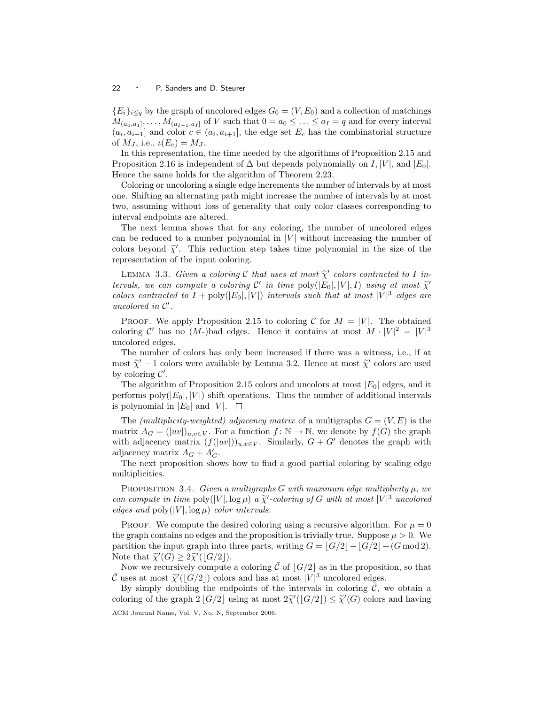${E_i}_{i \leq q}$  by the graph of uncolored edges  $G_0 = (V, E_0)$  and a collection of matchings  $M_{(a_0,a_1]},\ldots,M_{(a_{I-1},a_I]}$  of V such that  $0=a_0\leq\ldots\leq a_I=q$  and for every interval  $(a_i, a_{i+1}]$  and color  $c \in (a_i, a_{i+1}]$ , the edge set  $E_c$  has the combinatorial structure of  $M_J$ , i.e.,  $\iota(E_c) = M_J$ .

In this representation, the time needed by the algorithms of Proposition 2.15 and Proposition 2.16 is independent of  $\Delta$  but depends polynomially on  $I, |V|$ , and  $|E_0|$ . Hence the same holds for the algorithm of Theorem 2.23.

Coloring or uncoloring a single edge increments the number of intervals by at most one. Shifting an alternating path might increase the number of intervals by at most two, assuming without loss of generality that only color classes corresponding to interval endpoints are altered.

The next lemma shows that for any coloring, the number of uncolored edges can be reduced to a number polynomial in  $|V|$  without increasing the number of colors beyond  $\tilde{\chi}'$ . This reduction step takes time polynomial in the size of the representation of the input coloring representation of the input coloring.

LEMMA 3.3. Given a coloring C that uses at most  $\widetilde{\chi}'$  colors contracted to I in-<br>rughe and compute a coloring  $C'$  in time poly([E, [V] I) using at most  $\widetilde{\chi}'$ tervals, we can compute a coloring C' in time  $\text{poly}(|E_0|, |V|, I)$  using at most  $\tilde{\chi}'$ <br>colors contracted to  $I + \text{poly}(|E_1|, |V|)$  intervals such that at most  $|V|^3$  cdgs are colors contracted to  $I + \text{poly}(|E_0|, |V|)$  intervals such that at most  $|V|^3$  edges are uncolored in  $\mathcal{C}'$ .

PROOF. We apply Proposition 2.15 to coloring C for  $M = |V|$ . The obtained coloring C' has no (M-)bad edges. Hence it contains at most  $M \cdot |V|^2 = |V|^3$ uncolored edges.

The number of colors has only been increased if there was a witness, i.e., if at most  $\tilde{\chi}'$  – 1 colors were available by Lemma 3.2. Hence at most  $\tilde{\chi}'$  colors are used<br>by coloring  $C'$ by coloring  $\mathcal{C}'$ .

The algorithm of Proposition 2.15 colors and uncolors at most  $|E_0|$  edges, and it performs  $poly(|E_0|, |V|)$  shift operations. Thus the number of additional intervals is polynomial in  $|E_0|$  and  $|V|$ .  $\Box$ 

The *(multiplicity-weighted)* adjacency matrix of a multigraphs  $G = (V, E)$  is the matrix  $A_G = (|uv|)_{u,v \in V}$ . For a function  $f: \mathbb{N} \to \mathbb{N}$ , we denote by  $f(G)$  the graph with adjacency matrix  $(f(|uv|))_{u,v\in V}$ . Similarly,  $G + G'$  denotes the graph with adjacency matrix  $A_G + A'_G$ .

The next proposition shows how to find a good partial coloring by scaling edge multiplicities.

PROPOSITION 3.4. Given a multigraphs G with maximum edge multiplicity  $\mu$ , we can compute in time  $\text{poly}(|V|, \log \mu)$  a  $\tilde{\chi}'$ -coloring of G with at most  $|V|^3$  uncolored<br>edges and  $\text{poly}(|V|, \log \mu)$  color intervals edges and  $\text{poly}(|V|, \log \mu)$  color intervals.

PROOF. We compute the desired coloring using a recursive algorithm. For  $\mu = 0$ the graph contains no edges and the proposition is trivially true. Suppose  $\mu > 0$ . We partition the input graph into three parts, writing  $G = |G/2| + |G/2| + (G \mod 2)$ . Note that  $\widetilde{\chi}'(G) \geq 2\widetilde{\chi}'(\lfloor G/2 \rfloor)$ .<br>Now we recursively compute

Now we recursively compute a coloring  $\overline{C}$  of  $|G/2|$  as in the proposition, so that  $\bar{\mathcal{C}}$  uses at most  $\tilde{\chi}'(|\tilde{G}/2|)$  colors and has at most  $|V|^3$  uncolored edges.<br>By simply doubling the ordinaries of the intervals in coloring  $\bar{\mathcal{C}}$ ,

By simply doubling the endpoints of the intervals in coloring  $\mathcal{C}$ , we obtain a coloring of the graph  $2\lfloor G/2 \rfloor$  using at most  $2\tilde{\chi}'(\lfloor G/2 \rfloor) \leq \tilde{\chi}'(G)$  colors and having ACM Journal Name, Vol. V, No. N, September 2006.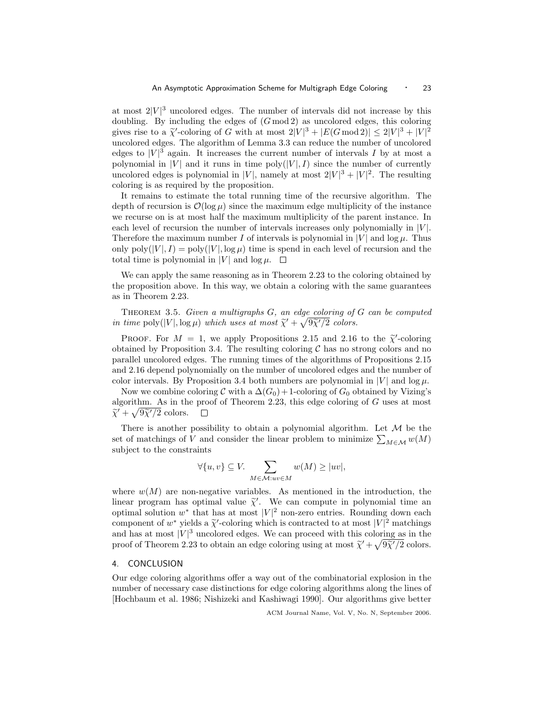at most  $2|V|^3$  uncolored edges. The number of intervals did not increase by this doubling. By including the edges of  $(G \mod 2)$  as uncolored edges, this coloring gives rise to a  $\tilde{\chi}'$ -coloring of G with at most  $2|V|^3 + |E(G \mod 2)| \leq 2|V|^3 + |V|^2$ <br>ungelered edges. The electric flamma 3.3 can reduce the number of ungelered uncolored edges. The algorithm of Lemma 3.3 can reduce the number of uncolored edges to  $|V|^3$  again. It increases the current number of intervals I by at most a polynomial in |V| and it runs in time  $poly(|V|, I)$  since the number of currently uncolored edges is polynomial in |V|, namely at most  $2|V|^3 + |V|^2$ . The resulting coloring is as required by the proposition.

It remains to estimate the total running time of the recursive algorithm. The depth of recursion is  $\mathcal{O}(\log \mu)$  since the maximum edge multiplicity of the instance we recurse on is at most half the maximum multiplicity of the parent instance. In each level of recursion the number of intervals increases only polynomially in  $|V|$ . Therefore the maximum number I of intervals is polynomial in  $|V|$  and  $\log \mu$ . Thus only  $poly(|V|, I) = poly(|V|, \log \mu)$  time is spend in each level of recursion and the total time is polynomial in |V| and  $log \mu$ .  $\Box$ 

We can apply the same reasoning as in Theorem 2.23 to the coloring obtained by the proposition above. In this way, we obtain a coloring with the same guarantees as in Theorem 2.23.

THEOREM 3.5. Given a multigraphs  $G$ , an edge coloring of  $G$  can be computed in time  $\text{poly}(|V|, \log \mu)$  which uses at most  $\widetilde{\chi}' + \sqrt{\frac{9\widetilde{\chi}'/2}{2}}$  colors.

PROOF. For  $M = 1$ , we apply Propositions 2.15 and 2.16 to the  $\tilde{\chi}'$ -coloring to the Proposition 2.4. The resulting coloring  $\tilde{C}$  has no strong colors and no obtained by Proposition 3.4. The resulting coloring  $\mathcal C$  has no strong colors and no parallel uncolored edges. The running times of the algorithms of Propositions 2.15 and 2.16 depend polynomially on the number of uncolored edges and the number of color intervals. By Proposition 3.4 both numbers are polynomial in  $|V|$  and  $\log \mu$ .

Now we combine coloring C with a  $\Delta(G_0) + 1$ -coloring of  $G_0$  obtained by Vizing's algorithm. As in the proof of Theorem 2.23, this edge coloring of  $G$  uses at most  $\widetilde{\chi}^{\prime} + \sqrt{9\widetilde{\chi}^{\prime}/2}$  colors.  $\Box$ 

There is another possibility to obtain a polynomial algorithm. Let  $M$  be the set of matchings of V and consider the linear problem to minimize  $\sum_{M \in \mathcal{M}} w(M)$ subject to the constraints

$$
\forall \{u, v\} \subseteq V. \sum_{M \in \mathcal{M}: uv \in M} w(M) \ge |uv|,
$$

where  $w(M)$  are non-negative variables. As mentioned in the introduction, the linear program has optimal value  $\tilde{\chi}'$ . We can compute in polynomial time an extended value of the set most  $|V|^2$  pon zero optimal. Bounding down onch optimal solution  $w^*$  that has at most  $|V|^2$  non-zero entries. Rounding down each component of  $w^*$  yields a  $\tilde{\chi}'$ -coloring which is contracted to at most  $|V|^2$  matchings<br>and has at most  $|V|^3$  uncolored edges. We can proceed with this coloring as in the and has at most  $|V|^3$  uncolored edges. We can proceed with this coloring as in the proof of Theorem 2.23 to obtain an edge coloring using at most  $\tilde{\chi}^{\prime} + \sqrt{9\tilde{\chi}^{\prime}/2}$  colors.

# 4. CONCLUSION

Our edge coloring algorithms offer a way out of the combinatorial explosion in the number of necessary case distinctions for edge coloring algorithms along the lines of [Hochbaum et al. 1986; Nishizeki and Kashiwagi 1990]. Our algorithms give better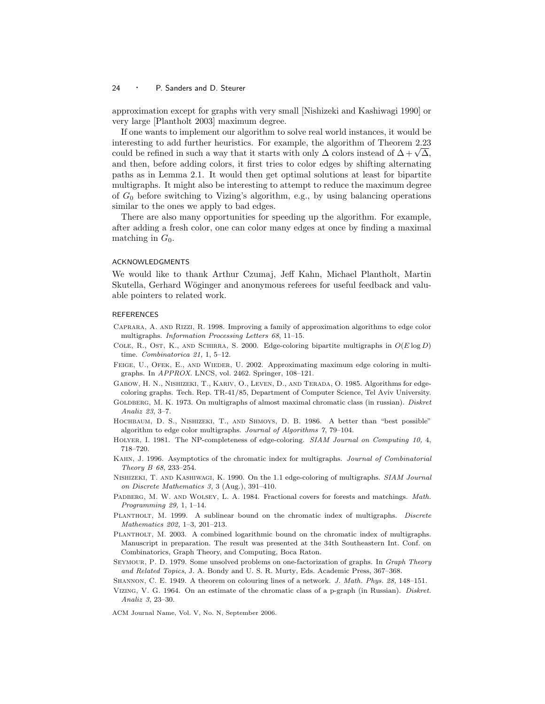approximation except for graphs with very small [Nishizeki and Kashiwagi 1990] or very large [Plantholt 2003] maximum degree.

If one wants to implement our algorithm to solve real world instances, it would be interesting to add further heuristics. For example, the algorithm of Theorem 2.23 interesting to add further heuristics. For example, the algorithm of Theorem 2.23<br>could be refined in such a way that it starts with only  $\Delta$  colors instead of  $\Delta + \sqrt{\Delta}$ , and then, before adding colors, it first tries to color edges by shifting alternating paths as in Lemma 2.1. It would then get optimal solutions at least for bipartite multigraphs. It might also be interesting to attempt to reduce the maximum degree of  $G_0$  before switching to Vizing's algorithm, e.g., by using balancing operations similar to the ones we apply to bad edges.

There are also many opportunities for speeding up the algorithm. For example, after adding a fresh color, one can color many edges at once by finding a maximal matching in  $G_0$ .

#### ACKNOWLEDGMENTS

We would like to thank Arthur Czumaj, Jeff Kahn, Michael Plantholt, Martin Skutella, Gerhard Wöginger and anonymous referees for useful feedback and valuable pointers to related work.

#### **REFERENCES**

- Caprara, A. and Rizzi, R. 1998. Improving a family of approximation algorithms to edge color multigraphs. Information Processing Letters 68, 11–15.
- COLE, R., OST, K., AND SCHIRRA, S. 2000. Edge-coloring bipartite multigraphs in  $O(E \log D)$ time. Combinatorica 21, 1, 5–12.
- FEIGE, U., OFEK, E., AND WIEDER, U. 2002. Approximating maximum edge coloring in multigraphs. In APPROX. LNCS, vol. 2462. Springer, 108–121.
- Gabow, H. N., Nishizeki, T., Kariv, O., Leven, D., and Terada, O. 1985. Algorithms for edgecoloring graphs. Tech. Rep. TR-41/85, Department of Computer Science, Tel Aviv University.
- GOLDBERG, M. K. 1973. On multigraphs of almost maximal chromatic class (in russian). Diskret Analiz 23, 3–7.
- HOCHBAUM, D. S., NISHIZEKI, T., AND SHMOYS, D. B. 1986. A better than "best possible" algorithm to edge color multigraphs. Journal of Algorithms 7, 79–104.
- Holyer, I. 1981. The NP-completeness of edge-coloring. SIAM Journal on Computing 10, 4, 718–720.
- Kahn, J. 1996. Asymptotics of the chromatic index for multigraphs. Journal of Combinatorial Theory B 68, 233–254.
- Nishizeki, T. and Kashiwagi, K. 1990. On the 1.1 edge-coloring of multigraphs. SIAM Journal on Discrete Mathematics 3, 3 (Aug.), 391–410.
- PADBERG, M. W. AND WOLSEY, L. A. 1984. Fractional covers for forests and matchings. Math. Programming 29, 1, 1–14.
- PLANTHOLT, M. 1999. A sublinear bound on the chromatic index of multigraphs. Discrete Mathematics 202, 1–3, 201–213.
- PLANTHOLT, M. 2003. A combined logarithmic bound on the chromatic index of multigraphs. Manuscript in preparation. The result was presented at the 34th Southeastern Int. Conf. on Combinatorics, Graph Theory, and Computing, Boca Raton.
- SEYMOUR, P. D. 1979. Some unsolved problems on one-factorization of graphs. In Graph Theory and Related Topics, J. A. Bondy and U. S. R. Murty, Eds. Academic Press, 367–368.
- Shannon, C. E. 1949. A theorem on colouring lines of a network. J. Math. Phys. 28, 148–151.
- Vizing, V. G. 1964. On an estimate of the chromatic class of a p-graph (in Russian). Diskret. Analiz 3, 23–30.